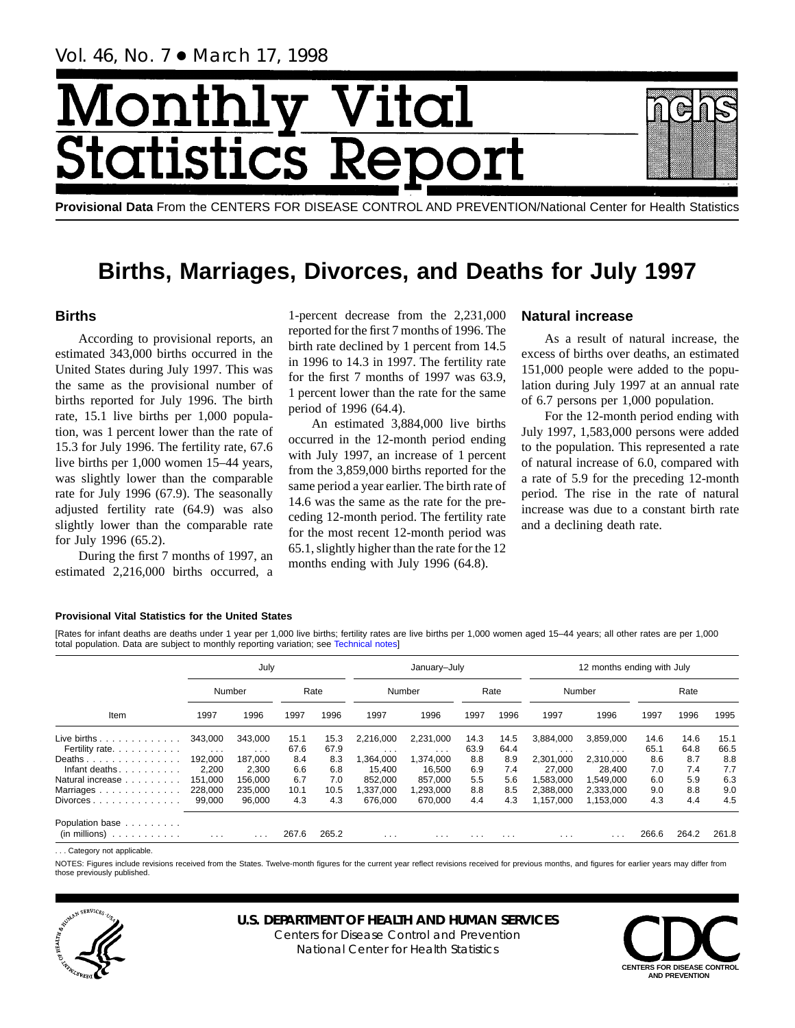# Month Vital tics R **Statist**

**Provisional Data** From the CENTERS FOR DISEASE CONTROL AND PREVENTION/National Center for Health Statistics

# **Births, Marriages, Divorces, and Deaths for July 1997**

# **Births**

According to provisional reports, an estimated 343,000 births occurred in the United States during July 1997. This was the same as the provisional number of births reported for July 1996. The birth rate, 15.1 live births per 1,000 population, was 1 percent lower than the rate of 15.3 for July 1996. The fertility rate, 67.6 live births per 1,000 women 15–44 years, was slightly lower than the comparable rate for July 1996 (67.9). The seasonally adjusted fertility rate (64.9) was also slightly lower than the comparable rate for July 1996 (65.2).

During the first 7 months of 1997, an estimated 2,216,000 births occurred, a 1-percent decrease from the 2,231,000 reported for the first 7 months of 1996. The birth rate declined by 1 percent from 14.5 in 1996 to 14.3 in 1997. The fertility rate for the first 7 months of 1997 was 63.9, 1 percent lower than the rate for the same period of 1996 (64.4).

An estimated 3,884,000 live births occurred in the 12-month period ending with July 1997, an increase of 1 percent from the 3,859,000 births reported for the same period a year earlier. The birth rate of 14.6 was the same as the rate for the preceding 12-month period. The fertility rate for the most recent 12-month period was 65.1, slightly higher than the rate for the 12 months ending with July 1996 (64.8).

# **Natural increase**

As a result of natural increase, the excess of births over deaths, an estimated 151,000 people were added to the population during July 1997 at an annual rate of 6.7 persons per 1,000 population.

For the 12-month period ending with July 1997, 1,583,000 persons were added to the population. This represented a rate of natural increase of 6.0, compared with a rate of 5.9 for the preceding 12-month period. The rise in the rate of natural increase was due to a constant birth rate and a declining death rate.

## **Provisional Vital Statistics for the United States**

[Rates for infant deaths are deaths under 1 year per 1,000 live births; fertility rates are live births per 1,000 women aged 15–44 years; all other rates are per 1,000 total population. Data are subject to monthly reporting variation; see [Technical notes\]](#page-16-0)

|                                                 |                         | July     |       |       |                         | January-July            |          |          | 12 months ending with July |           |       |       |       |  |  |
|-------------------------------------------------|-------------------------|----------|-------|-------|-------------------------|-------------------------|----------|----------|----------------------------|-----------|-------|-------|-------|--|--|
|                                                 |                         | Number   |       | Rate  |                         | Number                  |          | Rate     |                            | Number    |       | Rate  |       |  |  |
| Item                                            | 1997                    | 1996     | 1997  | 1996  | 1997                    | 1996                    | 1997     | 1996     | 1997                       | 1996      | 1997  | 1996  | 1995  |  |  |
| Live births $\ldots$                            | 343,000                 | 343.000  | 15.1  | 15.3  | 2,216,000               | 2,231,000               | 14.3     | 14.5     | 3,884,000                  | 3,859,000 | 14.6  | 14.6  | 15.1  |  |  |
| Fertility rate.                                 | $\sim 100$ km s $^{-1}$ | $\cdots$ | 67.6  | 67.9  | $\cdots$                | $\cdot$ $\cdot$ $\cdot$ | 63.9     | 64.4     | .                          | $\cdots$  | 65.1  | 64.8  | 66.5  |  |  |
| Deaths                                          | 192,000                 | 187.000  | 8.4   | 8.3   | ,364,000                | 1,374,000               | 8.8      | 8.9      | 2,301,000                  | 2,310,000 | 8.6   | 8.7   | 8.8   |  |  |
| Infant deaths.<br>in a straightful and a        | 2.200                   | 2.300    | 6.6   | 6.8   | 15.400                  | 16.500                  | 6.9      | 7.4      | 27.000                     | 28.400    | 7.0   | 7.4   | 7.7   |  |  |
| Natural increase                                | 151.000                 | 156.000  | 6.7   | 7.0   | 852.000                 | 857.000                 | 5.5      | 5.6      | 1,583,000                  | 1.549.000 | 6.0   | 5.9   | 6.3   |  |  |
| Marriages                                       | 228,000                 | 235.000  | 10.1  | 10.5  | ,337,000                | 1,293,000               | 8.8      | 8.5      | 2,388,000                  | 2,333,000 | 9.0   | 8.8   | 9.0   |  |  |
| $Divorces \dots \dots \dots \dots \dots$        | 99.000                  | 96.000   | 4.3   | 4.3   | 676.000                 | 670.000                 | 4.4      | 4.3      | 1.157.000                  | 1.153.000 | 4.3   | 4.4   | 4.5   |  |  |
| Population base                                 |                         |          |       |       |                         |                         |          |          |                            |           |       |       |       |  |  |
| (in millions)<br>decision and a contract of the | $\cdot$ $\cdot$ $\cdot$ | .        | 267.6 | 265.2 | $\cdot$ $\cdot$ $\cdot$ | $\cdots$                | $\cdots$ | $\cdots$ | .                          | .         | 266.6 | 264.2 | 261.8 |  |  |

. . . Category not applicable.

NOTES: Figures include revisions received from the States. Twelve-month figures for the current year reflect revisions received for previous months, and figures for earlier years may differ from those previously published.



# **U.S. DEPARTMENT OF HEALTH AND HUMAN SERVICES**

Centers for Disease Control and Prevention National Center for Health Statistics

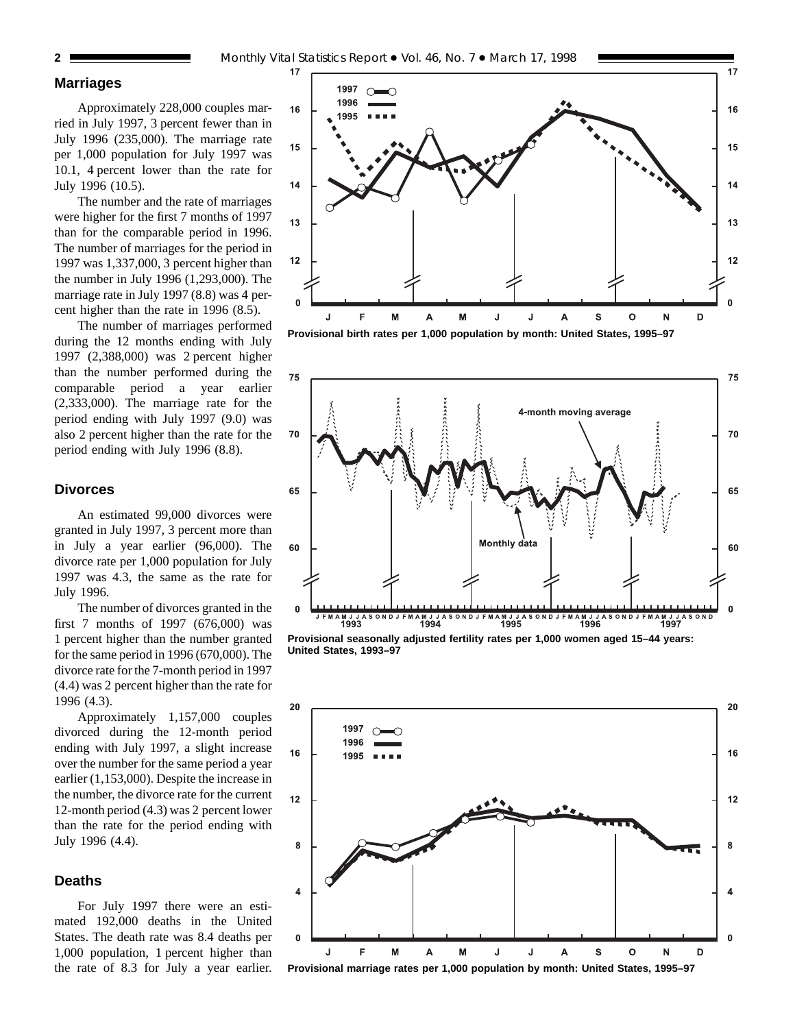# **Marriages**

Approximately 228,000 couples married in July 1997, 3 percent fewer than in July 1996 (235,000). The marriage rate per 1,000 population for July 1997 was 10.1, 4 percent lower than the rate for July 1996 (10.5).

The number and the rate of marriages were higher for the first 7 months of 1997 than for the comparable period in 1996. The number of marriages for the period in 1997 was 1,337,000, 3 percent higher than the number in July 1996 (1,293,000). The marriage rate in July 1997 (8.8) was 4 percent higher than the rate in 1996 (8.5).

The number of marriages performed during the 12 months ending with July 1997 (2,388,000) was 2 percent higher than the number performed during the comparable period a year earlier (2,333,000). The marriage rate for the period ending with July 1997 (9.0) was also 2 percent higher than the rate for the period ending with July 1996 (8.8).

## **Divorces**

An estimated 99,000 divorces were granted in July 1997, 3 percent more than in July a year earlier (96,000). The divorce rate per 1,000 population for July 1997 was 4.3, the same as the rate for July 1996.

The number of divorces granted in the first 7 months of 1997 (676,000) was 1 percent higher than the number granted for the same period in 1996 (670,000). The divorce rate for the 7-month period in 1997 (4.4) was 2 percent higher than the rate for 1996 (4.3).

Approximately 1,157,000 couples divorced during the 12-month period ending with July 1997, a slight increase over the number for the same period a year earlier (1,153,000). Despite the increase in the number, the divorce rate for the current 12-month period (4.3) was 2 percent lower than the rate for the period ending with July 1996 (4.4).

# **Deaths**

For July 1997 there were an estimated 192,000 deaths in the United States. The death rate was 8.4 deaths per 1,000 population, 1 percent higher than the rate of 8.3 for July a year earlier.



**Provisional birth rates per 1,000 population by month: United States, 1995–97**



**Provisional seasonally adjusted fertility rates per 1,000 women aged 15–44 years: United States, 1993–97**



**Provisional marriage rates per 1,000 population by month: United States, 1995–97**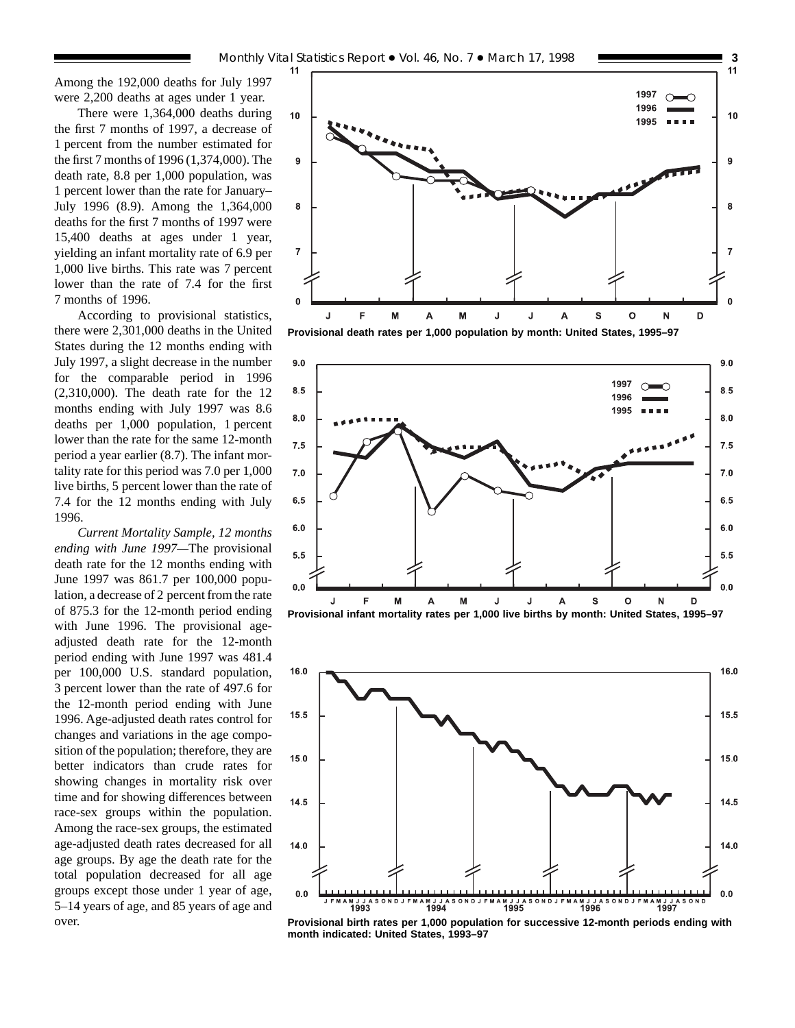Among the 192,000 deaths for July 1997 were 2,200 deaths at ages under 1 year.

There were 1,364,000 deaths during the first 7 months of 1997, a decrease of 1 percent from the number estimated for the first 7 months of 1996 (1,374,000). The death rate, 8.8 per 1,000 population, was 1 percent lower than the rate for January– July 1996 (8.9). Among the 1,364,000 deaths for the first 7 months of 1997 were 15,400 deaths at ages under 1 year, yielding an infant mortality rate of 6.9 per 1,000 live births. This rate was 7 percent lower than the rate of 7.4 for the first 7 months of 1996.

According to provisional statistics, there were 2,301,000 deaths in the United States during the 12 months ending with July 1997, a slight decrease in the number for the comparable period in 1996 (2,310,000). The death rate for the 12 months ending with July 1997 was 8.6 deaths per 1,000 population, 1 percent lower than the rate for the same 12-month period a year earlier (8.7). The infant mortality rate for this period was 7.0 per 1,000 live births, 5 percent lower than the rate of 7.4 for the 12 months ending with July 1996.

*Current Mortality Sample, 12 months ending with June 1997—*The provisional death rate for the 12 months ending with June 1997 was 861.7 per 100,000 population, a decrease of 2 percent from the rate of 875.3 for the 12-month period ending with June 1996. The provisional ageadjusted death rate for the 12-month period ending with June 1997 was 481.4 per 100,000 U.S. standard population, 3 percent lower than the rate of 497.6 for the 12-month period ending with June 1996. Age-adjusted death rates control for changes and variations in the age composition of the population; therefore, they are better indicators than crude rates for showing changes in mortality risk over time and for showing differences between race-sex groups within the population. Among the race-sex groups, the estimated age-adjusted death rates decreased for all age groups. By age the death rate for the total population decreased for all age groups except those under 1 year of age, 5–14 years of age, and 85 years of age and over.



**Provisional death rates per 1,000 population by month: United States, 1995–97**





**Provisional birth rates per 1,000 population for successive 12-month periods ending with month indicated: United States, 1993–97**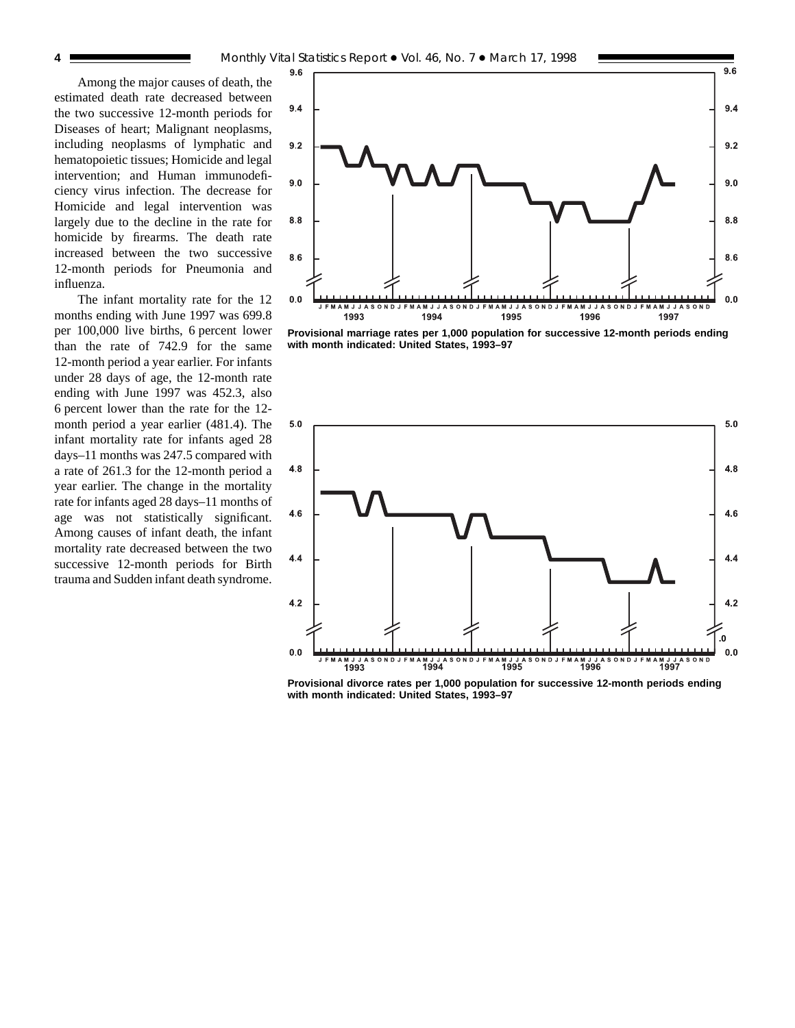Among the major causes of death, the estimated death rate decreased between the two successive 12-month periods for Diseases of heart; Malignant neoplasms, including neoplasms of lymphatic and hematopoietic tissues; Homicide and legal intervention; and Human immunodeficiency virus infection. The decrease for Homicide and legal intervention was largely due to the decline in the rate for homicide by firearms. The death rate increased between the two successive 12-month periods for Pneumonia and influenza.

The infant mortality rate for the 12 months ending with June 1997 was 699.8 per 100,000 live births, 6 percent lower than the rate of 742.9 for the same 12-month period a year earlier. For infants under 28 days of age, the 12-month rate ending with June 1997 was 452.3, also 6 percent lower than the rate for the 12 month period a year earlier (481.4). The infant mortality rate for infants aged 28 days–11 months was 247.5 compared with a rate of 261.3 for the 12-month period a year earlier. The change in the mortality rate for infants aged 28 days–11 months of age was not statistically significant. Among causes of infant death, the infant mortality rate decreased between the two successive 12-month periods for Birth trauma and Sudden infant death syndrome.



**Provisional marriage rates per 1,000 population for successive 12-month periods ending with month indicated: United States, 1993–97**



**Provisional divorce rates per 1,000 population for successive 12-month periods ending with month indicated: United States, 1993–97**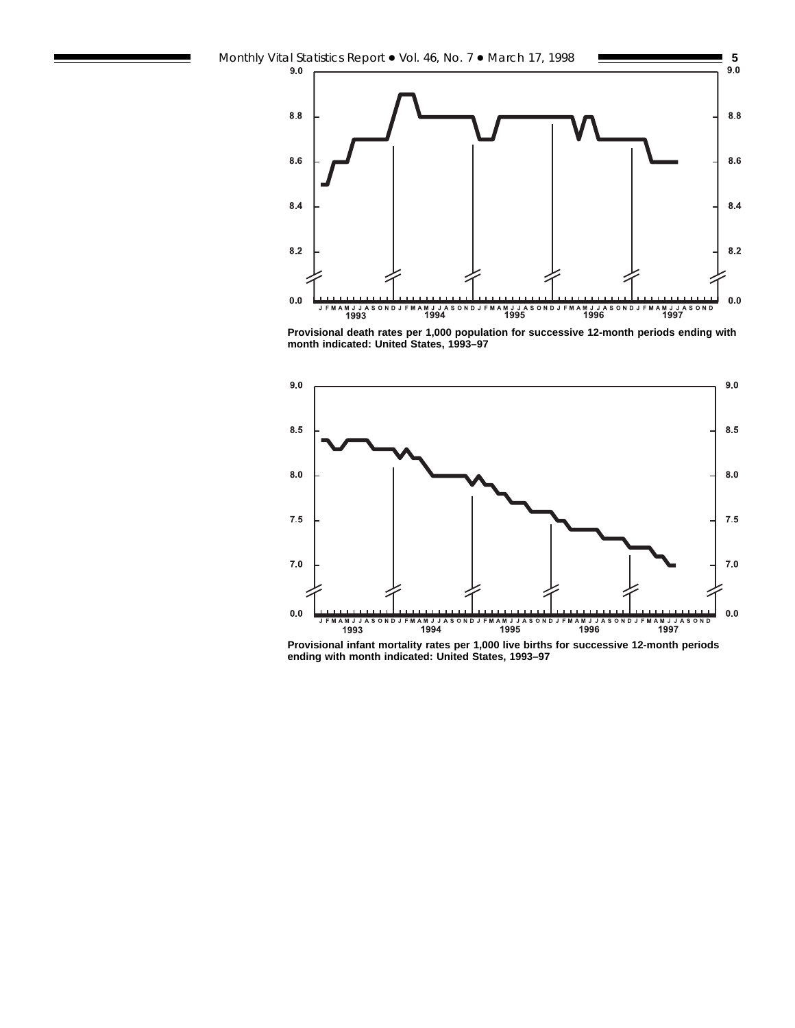

**Provisional death rates per 1,000 population for successive 12-month periods ending with month indicated: United States, 1993–97**



**Provisional infant mortality rates per 1,000 live births for successive 12-month periods ending with month indicated: United States, 1993–97**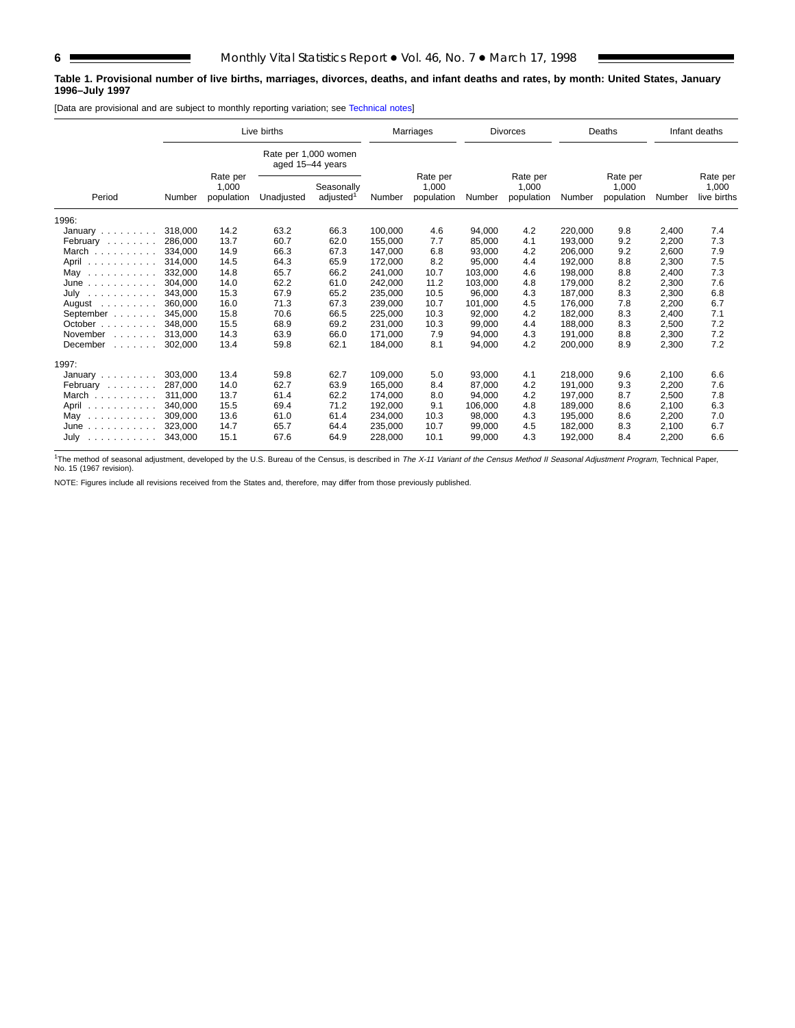## **Table 1. Provisional number of live births, marriages, divorces, deaths, and infant deaths and rates, by month: United States, January 1996–July 1997**

[Data are provisional and are subject to monthly reporting variation; see [Technical notes\]](#page-16-0)

| Live births                                                            |         |                                 |                                          |                                     |         | Marriages                       |         | <b>Divorces</b>                 |         | Deaths                          |        | Infant deaths                    |
|------------------------------------------------------------------------|---------|---------------------------------|------------------------------------------|-------------------------------------|---------|---------------------------------|---------|---------------------------------|---------|---------------------------------|--------|----------------------------------|
|                                                                        |         |                                 | Rate per 1,000 women<br>aged 15-44 years |                                     |         |                                 |         |                                 |         |                                 |        |                                  |
| Period                                                                 | Number  | Rate per<br>1,000<br>population | Unadjusted                               | Seasonally<br>adjusted <sup>1</sup> | Number  | Rate per<br>1,000<br>population | Number  | Rate per<br>1,000<br>population | Number  | Rate per<br>1,000<br>population | Number | Rate per<br>1,000<br>live births |
| 1996:                                                                  |         |                                 |                                          |                                     |         |                                 |         |                                 |         |                                 |        |                                  |
| January                                                                | 318,000 | 14.2                            | 63.2                                     | 66.3                                | 100.000 | 4.6                             | 94,000  | 4.2                             | 220,000 | 9.8                             | 2,400  | 7.4                              |
| February                                                               | 286,000 | 13.7                            | 60.7                                     | 62.0                                | 155,000 | 7.7                             | 85,000  | 4.1                             | 193,000 | 9.2                             | 2,200  | 7.3                              |
| March                                                                  | 334.000 | 14.9                            | 66.3                                     | 67.3                                | 147,000 | 6.8                             | 93,000  | 4.2                             | 206,000 | 9.2                             | 2,600  | 7.9                              |
| April                                                                  | 314.000 | 14.5                            | 64.3                                     | 65.9                                | 172,000 | 8.2                             | 95,000  | 4.4                             | 192,000 | 8.8                             | 2,300  | 7.5                              |
| May<br>.                                                               | 332.000 | 14.8                            | 65.7                                     | 66.2                                | 241.000 | 10.7                            | 103,000 | 4.6                             | 198.000 | 8.8                             | 2,400  | 7.3                              |
| June<br>.                                                              | 304.000 | 14.0                            | 62.2                                     | 61.0                                | 242,000 | 11.2                            | 103,000 | 4.8                             | 179.000 | 8.2                             | 2,300  | 7.6                              |
| July<br>.                                                              | 343.000 | 15.3                            | 67.9                                     | 65.2                                | 235,000 | 10.5                            | 96,000  | 4.3                             | 187.000 | 8.3                             | 2,300  | 6.8                              |
| August<br>and a contract of                                            | 360,000 | 16.0                            | 71.3                                     | 67.3                                | 239,000 | 10.7                            | 101,000 | 4.5                             | 176.000 | 7.8                             | 2,200  | 6.7                              |
| September                                                              | 345,000 | 15.8                            | 70.6                                     | 66.5                                | 225,000 | 10.3                            | 92,000  | 4.2                             | 182,000 | 8.3                             | 2,400  | 7.1                              |
| October                                                                | 348.000 | 15.5                            | 68.9                                     | 69.2                                | 231,000 | 10.3                            | 99,000  | 4.4                             | 188.000 | 8.3                             | 2,500  | 7.2                              |
| November<br>$\mathcal{L}^{\mathcal{A}}$ . The set of the $\mathcal{A}$ | 313.000 | 14.3                            | 63.9                                     | 66.0                                | 171,000 | 7.9                             | 94,000  | 4.3                             | 191,000 | 8.8                             | 2,300  | 7.2                              |
| December<br>and a state of                                             | 302.000 | 13.4                            | 59.8                                     | 62.1                                | 184,000 | 8.1                             | 94,000  | 4.2                             | 200,000 | 8.9                             | 2,300  | 7.2                              |
| 1997:                                                                  |         |                                 |                                          |                                     |         |                                 |         |                                 |         |                                 |        |                                  |
| January                                                                | 303.000 | 13.4                            | 59.8                                     | 62.7                                | 109.000 | 5.0                             | 93,000  | 4.1                             | 218.000 | 9.6                             | 2,100  | 6.6                              |
| February                                                               | 287.000 | 14.0                            | 62.7                                     | 63.9                                | 165.000 | 8.4                             | 87.000  | 4.2                             | 191.000 | 9.3                             | 2,200  | 7.6                              |
| March                                                                  | 311.000 | 13.7                            | 61.4                                     | 62.2                                | 174,000 | 8.0                             | 94,000  | 4.2                             | 197,000 | 8.7                             | 2,500  | 7.8                              |
| April<br>.                                                             | 340,000 | 15.5                            | 69.4                                     | 71.2                                | 192,000 | 9.1                             | 106,000 | 4.8                             | 189,000 | 8.6                             | 2,100  | 6.3                              |
| May<br>.                                                               | 309,000 | 13.6                            | 61.0                                     | 61.4                                | 234,000 | 10.3                            | 98,000  | 4.3                             | 195,000 | 8.6                             | 2,200  | 7.0                              |
| June<br>.                                                              | 323.000 | 14.7                            | 65.7                                     | 64.4                                | 235,000 | 10.7                            | 99,000  | 4.5                             | 182,000 | 8.3                             | 2,100  | 6.7                              |
| $July \dots \dots$                                                     | 343,000 | 15.1                            | 67.6                                     | 64.9                                | 228,000 | 10.1                            | 99,000  | 4.3                             | 192,000 | 8.4                             | 2,200  | 6.6                              |

<sup>1</sup>The method of seasonal adjustment, developed by the U.S. Bureau of the Census, is described in *The X-11 Variant of the Census Method II Seasonal Adjustment Program*, Technical Paper,<br>No. 15 (1967 revision).

NOTE: Figures include all revisions received from the States and, therefore, may differ from those previously published.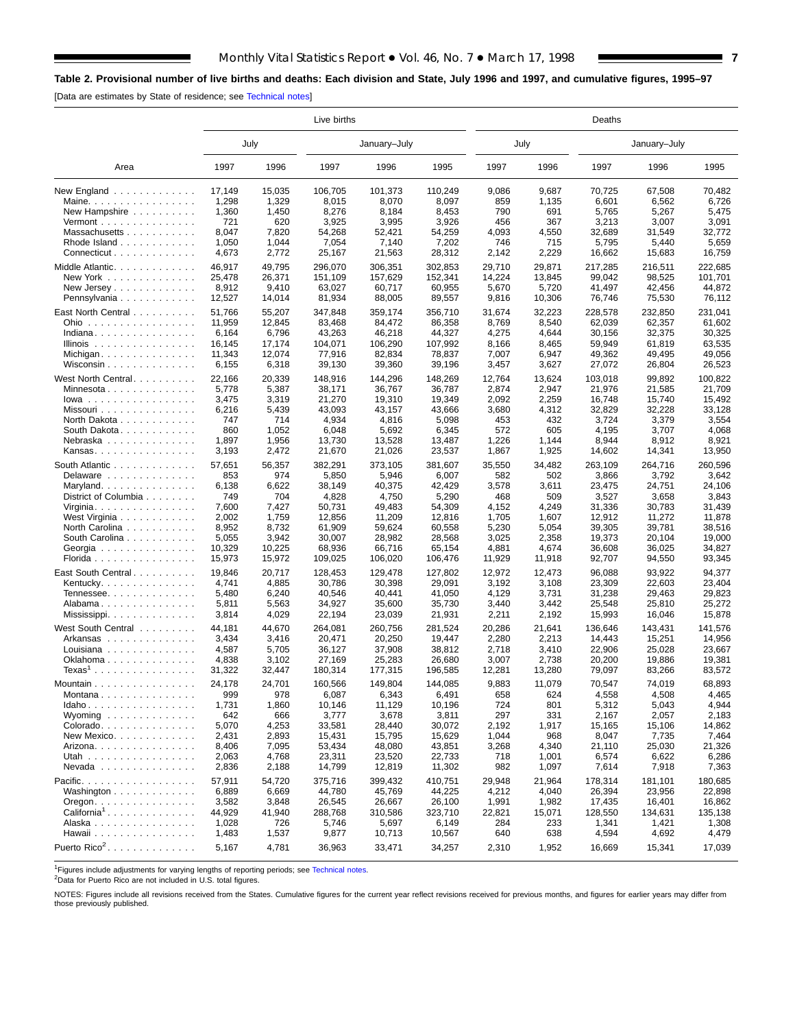# <span id="page-6-0"></span>**Table 2. Provisional number of live births and deaths: Each division and State, July 1996 and 1997, and cumulative figures, 1995–97**

[Data are estimates by State of residence; see [Technical notes\]](#page-16-0)

|                                          | Live births |        |                |              |         |        | Deaths |         |              |         |  |  |  |  |
|------------------------------------------|-------------|--------|----------------|--------------|---------|--------|--------|---------|--------------|---------|--|--|--|--|
|                                          |             | July   |                | January-July |         | July   |        |         | January-July |         |  |  |  |  |
| Area                                     | 1997        | 1996   | 1997           | 1996         | 1995    | 1997   | 1996   | 1997    | 1996         | 1995    |  |  |  |  |
| New England $\ldots$                     | 17,149      | 15,035 | 106,705        | 101,373      | 110,249 | 9,086  | 9,687  | 70,725  | 67,508       | 70,482  |  |  |  |  |
| Maine.                                   | 1,298       | 1,329  | 8,015          | 8,070        | 8,097   | 859    | 1,135  | 6,601   | 6,562        | 6,726   |  |  |  |  |
| New Hampshire                            | 1,360       | 1,450  | 8,276<br>8,184 |              | 8,453   | 790    | 691    | 5,765   | 5,267        | 5,475   |  |  |  |  |
| Vermont $\dots\dots\dots\dots\dots\dots$ | 721         | 620    | 3,925          | 3,995        | 3,926   | 456    | 367    | 3,213   | 3,007        | 3,091   |  |  |  |  |
| Massachusetts                            | 8,047       | 7,820  | 54,268         | 52,421       | 54,259  | 4,093  | 4,550  | 32,689  | 31,549       | 32,772  |  |  |  |  |
| Rhode Island                             | 1,050       | 1,044  | 7,054          | 7,140        | 7,202   | 746    | 715    | 5,795   | 5,440        | 5,659   |  |  |  |  |
| Connecticut                              | 4,673       | 2,772  | 25,167         | 21,563       | 28,312  | 2,142  | 2,229  | 16,662  | 15,683       | 16,759  |  |  |  |  |
| Middle Atlantic.                         | 46,917      | 49,795 | 296,070        | 306,351      | 302,853 | 29,710 | 29,871 | 217,285 | 216,511      | 222,685 |  |  |  |  |
| New York                                 | 25,478      | 26,371 | 151.109        | 157,629      | 152,341 | 14,224 | 13,845 | 99,042  | 98,525       | 101.701 |  |  |  |  |
| New Jersey                               | 8,912       | 9,410  | 63,027         | 60,717       | 60,955  | 5,670  | 5,720  | 41,497  | 42,456       | 44,872  |  |  |  |  |
| Pennsylvania                             | 12,527      | 14,014 | 81,934         | 88,005       | 89,557  | 9,816  | 10,306 | 76,746  | 75,530       | 76,112  |  |  |  |  |
| East North Central                       | 51,766      | 55,207 | 347,848        | 359,174      | 356,710 | 31,674 | 32,223 | 228,578 | 232,850      | 231,041 |  |  |  |  |
| Ohio                                     | 11,959      | 12,845 | 83,468         | 84,472       | 86,358  | 8,769  | 8,540  | 62,039  | 62,357       | 61,602  |  |  |  |  |
| Indiana                                  | 6,164       | 6,796  | 43,263         | 46,218       | 44,327  | 4,275  | 4,644  | 30,156  | 32,375       | 30,325  |  |  |  |  |
| Illinois                                 | 16,145      | 17,174 | 104,071        | 106,290      | 107,992 | 8,166  | 8,465  | 59,949  | 61,819       | 63,535  |  |  |  |  |
| Michigan                                 | 11,343      | 12,074 | 77,916         | 82,834       | 78,837  | 7,007  | 6,947  | 49,362  | 49,495       | 49,056  |  |  |  |  |
| Wisconsin                                | 6,155       | 6,318  | 39,130         | 39,360       | 39,196  | 3,457  | 3,627  | 27,072  | 26,804       | 26,523  |  |  |  |  |
| West North Central.                      | 22,166      | 20,339 | 148,916        | 144,296      | 148,269 | 12,764 | 13,624 | 103,018 | 99,892       | 100,822 |  |  |  |  |
| Minnesota                                | 5,778       | 5,387  | 38,171         | 36,767       | 36,787  | 2,874  | 2,947  | 21,976  | 21,585       | 21,709  |  |  |  |  |
| $lowa$                                   | 3,475       | 3,319  | 21,270         | 19,310       | 19,349  | 2,092  | 2,259  | 16,748  | 15,740       | 15,492  |  |  |  |  |
| Missouri                                 | 6,216       | 5,439  | 43,093         | 43,157       | 43,666  | 3,680  | 4,312  | 32,829  | 32,228       | 33,128  |  |  |  |  |
| North Dakota                             | 747         | 714    | 4,934          | 4,816        | 5,098   | 453    | 432    | 3,724   | 3,379        | 3,554   |  |  |  |  |
| South Dakota.                            | 860         | 1,052  | 6,048          | 5,692        | 6,345   | 572    | 605    | 4,195   | 3,707        | 4,068   |  |  |  |  |
| Nebraska                                 | 1,897       | 1,956  | 13,730         | 13,528       | 13,487  | 1,226  | 1,144  | 8,944   | 8,912        | 8,921   |  |  |  |  |
| Kansas                                   | 3,193       | 2,472  | 21,670         | 21,026       | 23,537  | 1,867  | 1,925  | 14,602  | 14,341       | 13,950  |  |  |  |  |
| South Atlantic                           | 57,651      | 56,357 | 382,291        | 373,105      | 381,607 | 35,550 | 34,482 | 263,109 | 264,716      | 260,596 |  |  |  |  |
| Delaware                                 | 853         | 974    | 5,850          | 5,946        | 6,007   | 582    | 502    | 3,866   | 3,792        | 3,642   |  |  |  |  |
| Maryland                                 | 6,138       | 6,622  | 38,149         | 40,375       | 42,429  | 3,578  | 3,611  | 23,475  | 24,751       | 24,106  |  |  |  |  |
| District of Columbia                     | 749         | 704    | 4,828          | 4,750        | 5,290   | 468    | 509    | 3,527   | 3,658        | 3,843   |  |  |  |  |
| Virginia. $\ldots$ .                     | 7,600       | 7,427  | 50,731         | 49,483       | 54,309  | 4,152  | 4,249  | 31,336  | 30,783       | 31,439  |  |  |  |  |
| West Virginia                            | 2,002       | 1,759  | 12,856         | 11,209       | 12,816  | 1,705  | 1,607  | 12,912  | 11,272       | 11,878  |  |  |  |  |
| North Carolina                           | 8,952       | 8,732  | 61,909         | 59,624       | 60,558  | 5,230  | 5,054  | 39,305  | 39,781       | 38,516  |  |  |  |  |
| South Carolina                           | 5,055       | 3,942  | 30,007         | 28,982       | 28,568  | 3,025  | 2,358  | 19,373  | 20,104       | 19,000  |  |  |  |  |
| Georgia                                  | 10,329      | 10,225 | 68,936         | 66,716       | 65,154  | 4,881  | 4,674  | 36,608  | 36,025       | 34,827  |  |  |  |  |
| Florida                                  | 15,973      | 15,972 | 109,025        | 106,020      | 106,476 | 11,929 | 11,918 | 92,707  | 94,550       | 93,345  |  |  |  |  |
| East South Central                       | 19,846      | 20,717 | 128,453        | 129,478      | 127,802 | 12,972 | 12,473 | 96,088  | 93,922       | 94,377  |  |  |  |  |
| Kentucky. $\ldots$ .                     | 4,741       | 4,885  | 30,786         | 30,398       | 29,091  | 3,192  | 3,108  | 23,309  | 22,603       | 23,404  |  |  |  |  |
| Tennessee                                | 5,480       | 6,240  | 40,546         | 40,441       | 41,050  | 4,129  | 3,731  | 31,238  | 29,463       | 29,823  |  |  |  |  |
| Alabama                                  | 5,811       | 5,563  | 34,927         | 35,600       | 35,730  | 3,440  | 3,442  | 25,548  | 25,810       | 25,272  |  |  |  |  |
|                                          | 3,814       | 4,029  | 22,194         | 23,039       | 21,931  | 2,211  | 2,192  | 15,993  | 16,046       | 15,878  |  |  |  |  |
| West South Central                       | 44,181      | 44,670 | 264,081        | 260,756      | 281,524 | 20,286 | 21,641 | 136,646 | 143,431      | 141,576 |  |  |  |  |
| Arkansas                                 | 3,434       | 3,416  | 20,471         | 20,250       | 19,447  | 2,280  | 2,213  | 14,443  | 15,251       | 14,956  |  |  |  |  |
| Louisiana                                | 4,587       | 5,705  | 36,127         | 37,908       | 38,812  | 2,718  | 3,410  | 22,906  | 25,028       | 23,667  |  |  |  |  |
| Oklahoma                                 | 4,838       | 3,102  | 27,169         | 25,283       | 26,680  | 3,007  | 2,738  | 20,200  | 19,886       | 19,381  |  |  |  |  |
| $Texas1$                                 | 31,322      | 32,447 | 180,314        | 177,315      | 196,585 | 12,281 | 13,280 | 79,097  | 83,266       | 83,572  |  |  |  |  |
| Mountain                                 | 24,178      | 24,701 | 160,566        | 149,804      | 144,085 | 9,883  | 11,079 | 70,547  | 74,019       | 68,893  |  |  |  |  |
| Montana                                  | 999         | 978    | 6,087          | 6,343        | 6,491   | 658    | 624    | 4,558   | 4,508        | 4,465   |  |  |  |  |
| $Idaho \ldots  \ldots $                  | 1,731       | 1,860  | 10,146         | 11,129       | 10,196  | 724    | 801    | 5,312   | 5,043        | 4,944   |  |  |  |  |
| Wyoming $\ldots$ , $\ldots$ , $\ldots$   | 642         | 666    | 3,777          | 3,678        | 3,811   | 297    | 331    | 2,167   | 2,057        | 2,183   |  |  |  |  |
| $Colorado. \ldots \ldots \ldots \ldots$  | 5,070       | 4,253  | 33,581         | 28,440       | 30,072  | 2,192  | 1,917  | 15,165  | 15,106       | 14,862  |  |  |  |  |
| New Mexico.                              | 2,431       | 2,893  | 15,431         | 15,795       | 15,629  | 1,044  | 968    | 8,047   | 7,735        | 7,464   |  |  |  |  |
| Arizona. $\ldots$ .                      | 8,406       | 7,095  | 53,434         | 48,080       | 43,851  | 3,268  | 4,340  | 21,110  | 25,030       | 21,326  |  |  |  |  |
| Utah                                     | 2,063       | 4,768  | 23,311         | 23,520       | 22,733  | 718    | 1,001  | 6,574   | 6,622        | 6,286   |  |  |  |  |
| Nevada                                   | 2,836       | 2,188  | 14,799         | 12,819       | 11,302  | 982    | 1,097  | 7,614   | 7,918        | 7,363   |  |  |  |  |
| Pacific.                                 | 57,911      | 54,720 | 375,716        | 399,432      | 410,751 | 29,948 | 21,964 | 178,314 | 181,101      | 180,685 |  |  |  |  |
| Washington                               | 6,889       | 6,669  | 44,780         | 45,769       | 44,225  | 4,212  | 4,040  | 26,394  | 23,956       | 22,898  |  |  |  |  |
| Oregon. $\ldots$ .                       | 3,582       | 3,848  | 26,545         | 26,667       | 26,100  | 1,991  | 1,982  | 17,435  | 16,401       | 16,862  |  |  |  |  |
| $California1$                            | 44,929      | 41,940 | 288,768        | 310,586      | 323,710 | 22,821 | 15,071 | 128,550 | 134,631      | 135,138 |  |  |  |  |
| Alaska                                   | 1,028       | 726    | 5,746          | 5,697        | 6,149   | 284    | 233    | 1,341   | 1,421        | 1,308   |  |  |  |  |
| Hawaii                                   | 1,483       | 1,537  | 9,877          | 10,713       | 10,567  | 640    | 638    | 4,594   | 4,692        | 4,479   |  |  |  |  |
| Puerto Rico <sup>2</sup> .               | 5,167       | 4,781  | 36,963         | 33,471       | 34,257  | 2,310  | 1,952  | 16,669  | 15,341       | 17,039  |  |  |  |  |
|                                          |             |        |                |              |         |        |        |         |              |         |  |  |  |  |

<sup>1</sup>Figures include adjustments for varying lengths of reporting periods; see [Technical notes.](#page-16-0)

<sup>2</sup>Data for Puerto Rico are not included in U.S. total figures.

NOTES: Figures include all revisions received from the States. Cumulative figures for the current year reflect revisions received for previous months, and figures for earlier years may differ from those previously published.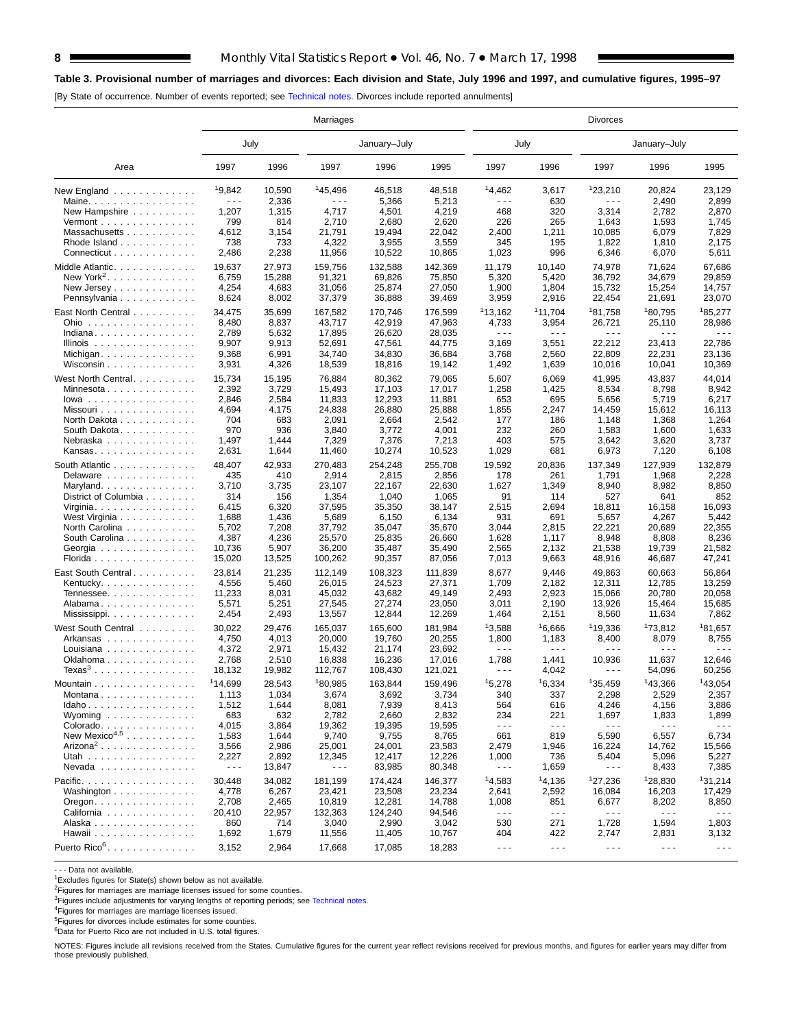## **Table 3. Provisional number of marriages and divorces: Each division and State, July 1996 and 1997, and cumulative figures, 1995–97**

[By State of occurrence. Number of events reported; see [Technical notes. D](#page-16-0)ivorces include reported annulments]

|                                                           | Marriages            |        |                     |              |         |                      | Divorces             |                                                                                                                                                                                                                                                                                                                                                                                              |                      |                      |  |  |  |  |
|-----------------------------------------------------------|----------------------|--------|---------------------|--------------|---------|----------------------|----------------------|----------------------------------------------------------------------------------------------------------------------------------------------------------------------------------------------------------------------------------------------------------------------------------------------------------------------------------------------------------------------------------------------|----------------------|----------------------|--|--|--|--|
|                                                           | July                 |        |                     | January-July |         | July                 |                      |                                                                                                                                                                                                                                                                                                                                                                                              | January-July         |                      |  |  |  |  |
| Area                                                      | 1997                 | 1996   | 1997                | 1996         | 1995    | 1997                 | 1996                 | 1997                                                                                                                                                                                                                                                                                                                                                                                         | 1996                 | 1995                 |  |  |  |  |
| New England $\ldots$ ,                                    | 19,842               | 10,590 | <sup>1</sup> 45,496 | 46,518       | 48.518  | 14,462               | 3,617                | 123,210                                                                                                                                                                                                                                                                                                                                                                                      | 20,824               | 23,129               |  |  |  |  |
| Maine.                                                    | .                    | 2,336  | .                   | 5,366        | 5,213   | .                    | 630                  | .                                                                                                                                                                                                                                                                                                                                                                                            | 2,490                | 2,899                |  |  |  |  |
| New Hampshire                                             | 1,207                | 1,315  | 4,717               | 4,501        | 4,219   | 468                  | 320                  | 3,314                                                                                                                                                                                                                                                                                                                                                                                        | 2,782                | 2,870                |  |  |  |  |
| Vermont $\dots\dots\dots\dots\dots\dots$                  | 799                  | 814    | 2,710               | 2,680        | 2,620   | 226                  | 265                  | 1,643                                                                                                                                                                                                                                                                                                                                                                                        | 1,593                | 1,745                |  |  |  |  |
| Massachusetts                                             | 4,612                | 3,154  | 21,791              | 19,494       | 22,042  | 2,400                | 1,211                | 10,085                                                                                                                                                                                                                                                                                                                                                                                       | 6,079                | 7,829                |  |  |  |  |
| Rhode Island                                              | 738                  | 733    | 4,322               | 3,955        | 3,559   | 345                  | 195                  | 1,822                                                                                                                                                                                                                                                                                                                                                                                        | 1,810                | 2,175                |  |  |  |  |
| Connecticut                                               | 2,486                | 2,238  | 11,956              | 10,522       | 10,865  | 1,023                | 996                  | 6,346                                                                                                                                                                                                                                                                                                                                                                                        | 6,070                | 5,611                |  |  |  |  |
| Middle Atlantic.                                          | 19,637               | 27,973 | 159,756             | 132,588      | 142,369 | 11,179               | 10,140               | 74,978                                                                                                                                                                                                                                                                                                                                                                                       | 71,624               | 67,686               |  |  |  |  |
| New York <sup>2</sup> .                                   | 6,759                | 15,288 | 91,321              | 69,826       | 75,850  | 5,320                | 5,420                | 36,792                                                                                                                                                                                                                                                                                                                                                                                       | 34,679               | 29,859               |  |  |  |  |
| New Jersey                                                | 4,254                | 4,683  | 31,056              | 25,874       | 27,050  | 1,900                | 1,804                | 15,732                                                                                                                                                                                                                                                                                                                                                                                       | 15,254               | 14,757               |  |  |  |  |
| Pennsylvania                                              | 8,624                | 8,002  | 37,379              | 36,888       | 39,469  | 3,959                | 2,916                | 22,454                                                                                                                                                                                                                                                                                                                                                                                       | 21,691               | 23,070               |  |  |  |  |
|                                                           |                      |        |                     |              |         |                      |                      |                                                                                                                                                                                                                                                                                                                                                                                              |                      |                      |  |  |  |  |
| East North Central                                        | 34,475               | 35,699 | 167,582             | 170,746      | 176,599 | 113,162              | 11,704               | 181,758                                                                                                                                                                                                                                                                                                                                                                                      | <sup>1</sup> 80,795  | 185,277              |  |  |  |  |
| Ohio                                                      | 8,480                | 8,837  | 43,717              | 42,919       | 47,963  | 4,733                | 3,954                | 26,721                                                                                                                                                                                                                                                                                                                                                                                       | 25,110               | 28,986               |  |  |  |  |
| Indiana                                                   | 2,789                | 5,632  | 17,895              | 26,620       | 28,035  | $\sim$ $\sim$ $\sim$ | .                    | $\sim$ $\sim$ $\sim$                                                                                                                                                                                                                                                                                                                                                                         | $- - -$              | $\sim$ $\sim$ $\sim$ |  |  |  |  |
| Illinois $\dots \dots \dots \dots$                        | 9,907                | 9,913  | 52,691              | 47,561       | 44,775  | 3,169                | 3,551                | 22,212                                                                                                                                                                                                                                                                                                                                                                                       | 23,413               | 22,786               |  |  |  |  |
| Michigan                                                  | 9,368                | 6,991  | 34,740              | 34,830       | 36,684  | 3,768                | 2,560                | 22,809                                                                                                                                                                                                                                                                                                                                                                                       | 22,231               | 23,136               |  |  |  |  |
| Wisconsin                                                 | 3,931                | 4,326  | 18,539              | 18,816       | 19,142  | 1,492                | 1,639                | 10,016                                                                                                                                                                                                                                                                                                                                                                                       | 10,041               | 10,369               |  |  |  |  |
| West North Central                                        | 15,734               | 15,195 | 76,884              | 80,362       | 79,065  | 5,607                | 6,069                | 41,995                                                                                                                                                                                                                                                                                                                                                                                       | 43,837               | 44,014               |  |  |  |  |
| Minnesota                                                 | 2,392                | 3,729  | 15,493              | 17,103       | 17,017  | 1,258                | 1,425                | 8,534                                                                                                                                                                                                                                                                                                                                                                                        | 8,798                | 8,942                |  |  |  |  |
|                                                           | 2,846                |        |                     |              |         | 653                  |                      |                                                                                                                                                                                                                                                                                                                                                                                              |                      |                      |  |  |  |  |
| $lowa$                                                    |                      | 2,584  | 11,833              | 12,293       | 11,881  |                      | 695                  | 5,656                                                                                                                                                                                                                                                                                                                                                                                        | 5,719                | 6,217                |  |  |  |  |
| Missouri                                                  | 4,694                | 4,175  | 24,838              | 26,880       | 25,888  | 1,855                | 2,247                | 14,459                                                                                                                                                                                                                                                                                                                                                                                       | 15,612               | 16,113               |  |  |  |  |
| North Dakota                                              | 704                  | 683    | 2,091               | 2,664        | 2,542   | 177                  | 186                  | 1,148                                                                                                                                                                                                                                                                                                                                                                                        | 1,368                | 1,264                |  |  |  |  |
| South Dakota.                                             | 970                  | 936    | 3,840               | 3,772        | 4,001   | 232                  | 260                  | 1,583                                                                                                                                                                                                                                                                                                                                                                                        | 1,600                | 1,633                |  |  |  |  |
| Nebraska                                                  | 1,497                | 1,444  | 7,329               | 7,376        | 7,213   | 403                  | 575                  | 3,642                                                                                                                                                                                                                                                                                                                                                                                        | 3,620                | 3,737                |  |  |  |  |
| Kansas                                                    | 2,631                | 1,644  | 11,460              | 10,274       | 10,523  | 1,029                | 681                  | 6,973                                                                                                                                                                                                                                                                                                                                                                                        | 7,120                | 6,108                |  |  |  |  |
| South Atlantic                                            | 48,407               | 42,933 | 270,483             | 254,248      | 255,708 | 19,592               | 20,836               | 137,349                                                                                                                                                                                                                                                                                                                                                                                      | 127,939              | 132,879              |  |  |  |  |
| Delaware                                                  | 435                  | 410    | 2,914               | 2,815        | 2,856   | 178                  | 261                  | 1,791                                                                                                                                                                                                                                                                                                                                                                                        | 1,968                | 2,228                |  |  |  |  |
| Maryland                                                  | 3,710                | 3,735  | 23,107              | 22,167       | 22,630  | 1,627                | 1,349                | 8,940                                                                                                                                                                                                                                                                                                                                                                                        | 8,982                | 8,850                |  |  |  |  |
| District of Columbia                                      | 314                  | 156    | 1,354               | 1,040        | 1,065   | 91                   | 114                  | 527                                                                                                                                                                                                                                                                                                                                                                                          | 641                  | 852                  |  |  |  |  |
| Virginia. $\ldots$ .                                      | 6,415                | 6,320  | 37,595              | 35,350       | 38,147  | 2,515                | 2,694                | 18,811                                                                                                                                                                                                                                                                                                                                                                                       | 16,158               | 16,093               |  |  |  |  |
| West Virginia                                             | 1,688                | 1,436  | 5,689               | 6,150        | 6,134   | 931                  | 691                  | 5,657                                                                                                                                                                                                                                                                                                                                                                                        | 4,267                | 5,442                |  |  |  |  |
| North Carolina                                            | 5,702                | 7,208  | 37,792              | 35,047       | 35,670  | 3,044                | 2,815                | 22,221                                                                                                                                                                                                                                                                                                                                                                                       | 20,689               | 22,355               |  |  |  |  |
|                                                           |                      |        |                     |              |         |                      |                      |                                                                                                                                                                                                                                                                                                                                                                                              |                      |                      |  |  |  |  |
| South Carolina                                            | 4,387                | 4,236  | 25,570              | 25,835       | 26,660  | 1,628                | 1,117                | 8,948                                                                                                                                                                                                                                                                                                                                                                                        | 8,808                | 8,236                |  |  |  |  |
| Georgia                                                   | 10,736               | 5,907  | 36,200              | 35,487       | 35,490  | 2,565                | 2,132                | 21,538                                                                                                                                                                                                                                                                                                                                                                                       | 19,739               | 21,582               |  |  |  |  |
| Florida                                                   | 15,020               | 13,525 | 100,262             | 90,357       | 87,056  | 7,013                | 9,663                | 48,916                                                                                                                                                                                                                                                                                                                                                                                       | 46,687               | 47,241               |  |  |  |  |
| East South Central.                                       | 23,814               | 21,235 | 112,149             | 108,323      | 111,839 | 8,677                | 9,446                | 49,863                                                                                                                                                                                                                                                                                                                                                                                       | 60,663               | 56,864               |  |  |  |  |
| Kentucky. $\ldots$ .                                      | 4,556                | 5,460  | 26,015              | 24,523       | 27,371  | 1,709                | 2,182                | 12,311                                                                                                                                                                                                                                                                                                                                                                                       | 12,785               | 13,259               |  |  |  |  |
| Tennessee                                                 | 11,233               | 8,031  | 45,032              | 43,682       | 49,149  | 2,493                | 2,923                | 15,066                                                                                                                                                                                                                                                                                                                                                                                       | 20,780               | 20,058               |  |  |  |  |
| Alabama                                                   | 5,571                | 5,251  | 27,545              | 27,274       | 23,050  | 3,011                | 2,190                | 13,926                                                                                                                                                                                                                                                                                                                                                                                       | 15,464               | 15,685               |  |  |  |  |
|                                                           | 2,454                | 2,493  | 13,557              | 12,844       | 12,269  | 1,464                | 2,151                | 8,560                                                                                                                                                                                                                                                                                                                                                                                        | 11,634               | 7,862                |  |  |  |  |
|                                                           |                      |        |                     |              |         |                      |                      |                                                                                                                                                                                                                                                                                                                                                                                              |                      |                      |  |  |  |  |
| West South Central                                        | 30,022               | 29,476 | 165,037             | 165,600      | 181,984 | 13,588               | <sup>1</sup> 6,666   | <sup>1</sup> 19,336                                                                                                                                                                                                                                                                                                                                                                          | <sup>1</sup> 73,812  | 181,657              |  |  |  |  |
| Arkansas                                                  | 4,750                | 4,013  | 20,000              | 19,760       | 20,255  | 1,800                | 1,183                | 8,400                                                                                                                                                                                                                                                                                                                                                                                        | 8,079                | 8,755<br>- - -       |  |  |  |  |
| Louisiana                                                 | 4,372                | 2,971  | 15,432              | 21.174       | 23,692  | $\sim$ $\sim$ $\sim$ | .                    | .                                                                                                                                                                                                                                                                                                                                                                                            | - - -                |                      |  |  |  |  |
| Oklahoma                                                  | 2,768                | 2,510  | 16,838              | 16,236       | 17,016  | 1,788                | 1,441                | 10,936                                                                                                                                                                                                                                                                                                                                                                                       | 11,637               | 12,646               |  |  |  |  |
| Texas $3 \ldots \ldots \ldots \ldots \ldots$              | 18,132               | 19,982 | 112,767             | 108,430      | 121,021 | $\sim$ $\sim$ $\sim$ | 4,042                | - - -                                                                                                                                                                                                                                                                                                                                                                                        | 54,096               | 60,256               |  |  |  |  |
| Mountain                                                  | 114,699              | 28,543 | 180,985             | 163,844      | 159,496 | 15,278               | 16,334               | 135,459                                                                                                                                                                                                                                                                                                                                                                                      | 143,366              | 143,054              |  |  |  |  |
| Montana                                                   | 1,113                | 1,034  | 3,674               | 3,692        | 3,734   | 340                  | 337                  | 2,298                                                                                                                                                                                                                                                                                                                                                                                        | 2,529                | 2,357                |  |  |  |  |
| Idaho                                                     | 1,512                | 1,644  | 8,081               | 7,939        | 8,413   | 564                  | 616                  | 4,246                                                                                                                                                                                                                                                                                                                                                                                        | 4,156                | 3,886                |  |  |  |  |
| Wyoming $\ldots \ldots \ldots \ldots$                     | 683                  | 632    | 2,782               | 2,660        | 2,832   | 234                  | 221                  | 1,697                                                                                                                                                                                                                                                                                                                                                                                        | 1,833                | 1,899                |  |  |  |  |
| Colorado.                                                 | 4,015                | 3,864  | 19,362              | 19,395       | 19,595  | $\sim$ $\sim$ $\sim$ | $\sim$ $\sim$ $\sim$ | $- - -$                                                                                                                                                                                                                                                                                                                                                                                      | $  -$                | $\sim$ $\sim$ $\sim$ |  |  |  |  |
| New Mexico <sup>4,5</sup>                                 | 1,583                | 1,644  | 9,740               | 9,755        | 8,765   | 661                  | 819                  | 5,590                                                                                                                                                                                                                                                                                                                                                                                        | 6,557                | 6,734                |  |  |  |  |
| Arizona <sup>2</sup>                                      | 3,566                | 2,986  | 25,001              | 24,001       | 23,583  | 2,479                | 1,946                | 16,224                                                                                                                                                                                                                                                                                                                                                                                       | 14,762               | 15,566               |  |  |  |  |
| Utah                                                      | 2,227                | 2,892  | 12,345              | 12,417       | 12,226  | 1,000                | 736                  | 5,404                                                                                                                                                                                                                                                                                                                                                                                        | 5,096                | 5,227                |  |  |  |  |
|                                                           | $\sim$ $\sim$ $\sim$ |        | $- - -$             |              |         | $\sim$ $\sim$ $\sim$ |                      | $\frac{1}{2} \frac{1}{2} \frac{1}{2} \frac{1}{2} \frac{1}{2} \frac{1}{2} \frac{1}{2} \frac{1}{2} \frac{1}{2} \frac{1}{2} \frac{1}{2} \frac{1}{2} \frac{1}{2} \frac{1}{2} \frac{1}{2} \frac{1}{2} \frac{1}{2} \frac{1}{2} \frac{1}{2} \frac{1}{2} \frac{1}{2} \frac{1}{2} \frac{1}{2} \frac{1}{2} \frac{1}{2} \frac{1}{2} \frac{1}{2} \frac{1}{2} \frac{1}{2} \frac{1}{2} \frac{1}{2} \frac{$ |                      |                      |  |  |  |  |
| Nevada                                                    |                      | 13,847 |                     | 83,985       | 80,348  |                      | 1,659                |                                                                                                                                                                                                                                                                                                                                                                                              | 8,433                | 7,385                |  |  |  |  |
| Pacific.                                                  | 30,448               | 34,082 | 181,199             | 174,424      | 146,377 | 14,583               | 14,136               | 127,236                                                                                                                                                                                                                                                                                                                                                                                      | 128.830              | 131,214              |  |  |  |  |
| Washington $\ldots$ , $\ldots$ , $\ldots$ ,               | 4,778                | 6,267  | 23,421              | 23,508       | 23,234  | 2,641                | 2,592                | 16,084                                                                                                                                                                                                                                                                                                                                                                                       | 16,203               | 17,429               |  |  |  |  |
| $O$ regon. $\ldots$ $\ldots$ $\ldots$ $\ldots$ $\ldots$ . | 2,708                | 2,465  | 10,819              | 12,281       | 14,788  | 1,008                | 851                  | 6,677                                                                                                                                                                                                                                                                                                                                                                                        | 8,202                | 8,850                |  |  |  |  |
| California                                                | 20,410               | 22,957 | 132,363             | 124,240      | 94,546  | $\sim$ $\sim$ $\sim$ | $\sim$ $\sim$ $\sim$ | $- - -$                                                                                                                                                                                                                                                                                                                                                                                      | $\sim$ $\sim$ $\sim$ | $  -$                |  |  |  |  |
| Alaska                                                    | 860                  | 714    | 3,040               | 2,990        | 3,042   | 530                  | 271                  | 1,728                                                                                                                                                                                                                                                                                                                                                                                        | 1,594                | 1,803                |  |  |  |  |
| Hawaii                                                    | 1,692                | 1,679  | 11,556              | 11,405       | 10,767  | 404                  | 422                  | 2,747                                                                                                                                                                                                                                                                                                                                                                                        | 2,831                | 3,132                |  |  |  |  |
| Puerto Rico <sup>6</sup> .                                |                      |        |                     |              |         |                      |                      |                                                                                                                                                                                                                                                                                                                                                                                              |                      |                      |  |  |  |  |
|                                                           | 3,152                | 2,964  | 17,668              | 17,085       | 18,283  | $\sim$ $\sim$ $\sim$ | $\sim$ $\sim$ $\sim$ | $\sim$ $\sim$ $\sim$                                                                                                                                                                                                                                                                                                                                                                         | $\sim$ $\sim$ $\sim$ | $\sim$ $\sim$ $\sim$ |  |  |  |  |

- - - Data not available.

1Excludes figures for State(s) shown below as not available.

<sup>2</sup>Figures for marriages are marriage licenses issued for some counties.

<sup>3</sup>Figures include adjustments for varying lengths of reporting periods; see [Technical notes.](#page-16-0)

4Figures for marriages are marriage licenses issued.

5Figures for divorces include estimates for some counties.

6Data for Puerto Rico are not included in U.S. total figures.

NOTES: Figures include all revisions received from the States. Cumulative figures for the current year reflect revisions received for previous months, and figures for earlier years may differ from those previously published.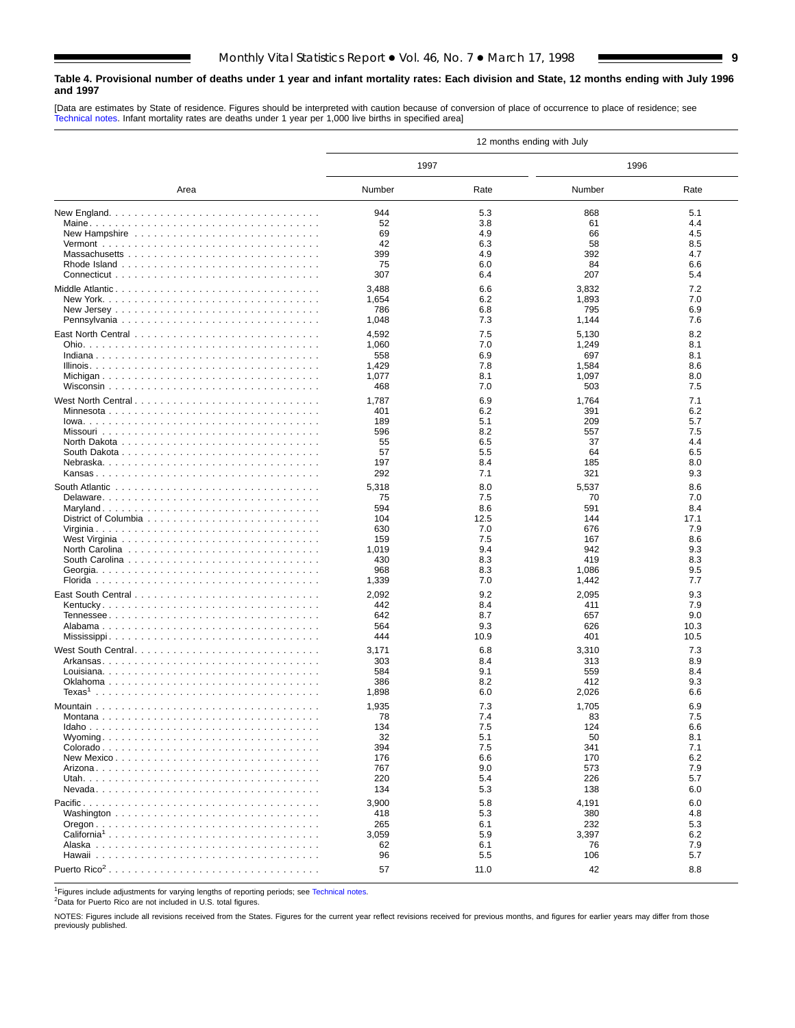### <span id="page-8-0"></span>**Table 4. Provisional number of deaths under 1 year and infant mortality rates: Each division and State, 12 months ending with July 1996 and 1997**

[Data are estimates by State of residence. Figures should be interpreted with caution because of conversion of place of occurrence to place of residence; see [Technical notes. Inf](#page-16-0)ant mortality rates are deaths under 1 year per 1,000 live births in specified area]

| 1997<br>1996<br>Number<br>Number<br>Rate<br>Rate<br>Area<br>944<br>5.1<br>5.3<br>868<br>52<br>4.4<br>3.8<br>61<br>69<br>4.9<br>66<br>4.5<br>New Hampshire<br>42<br>6.3<br>8.5<br>58<br>399<br>4.9<br>4.7<br>392<br>75<br>6.0<br>84<br>6.6<br>307<br>6.4<br>207<br>5.4<br>3,488<br>7.2<br>6.6<br>3,832<br>Middle Atlantic<br>1,654<br>6.2<br>1,893<br>7.0<br>786<br>6.8<br>795<br>6.9<br>1,048<br>7.3<br>7.6<br>1,144<br>8.2<br>4,592<br>7.5<br>5,130<br>1,060<br>7.0<br>1,249<br>8.1<br>6.9<br>558<br>697<br>8.1<br>1,429<br>7.8<br>1,584<br>8.6<br>1,077<br>8.1<br>1,097<br>8.0<br>468<br>7.0<br>503<br>7.5<br>7.1<br>West North Central<br>1,787<br>6.9<br>1,764<br>401<br>6.2<br>391<br>6.2<br>Minnesota<br>189<br>5.7<br>5.1<br>209<br>596<br>8.2<br>7.5<br>557<br>4.4<br>55<br>6.5<br>37<br>57<br>6.5<br>5.5<br>64<br>197<br>8.4<br>185<br>8.0<br>292<br>9.3<br>7.1<br>321<br>5,318<br>8.0<br>5,537<br>8.6<br>7.5<br>7.0<br>75<br>70<br>594<br>8.6<br>591<br>8.4<br>104<br>17.1<br>12.5<br>144<br>630<br>7.0<br>7.9<br>676<br>8.6<br>159<br>7.5<br>167<br>9.4<br>9.3<br>1,019<br>942<br>8.3<br>8.3<br>430<br>419<br>968<br>8.3<br>1,086<br>9.5<br>1,339<br>7.0<br>1,442<br>7.7<br>2,092<br>9.2<br>9.3<br>2,095<br>442<br>8.4<br>7.9<br>411<br>8.7<br>9.0<br>642<br>657<br>564<br>9.3<br>10.3<br>626<br>444<br>10.9<br>401<br>10.5<br>7.3<br>West South Central<br>3,171<br>6.8<br>3,310<br>303<br>8.9<br>8.4<br>313<br>584<br>9.1<br>559<br>8.4<br>386<br>8.2<br>412<br>9.3<br>1,898<br>6.0<br>2,026<br>6.6<br>1,935<br>7.3<br>1,705<br>6.9<br>7.4<br>7.5<br>78<br>83<br>134<br>7.5<br>124<br>6.6<br>32<br>5.1<br>8.1<br>50<br>394<br>7.1<br>7.5<br>341<br>6.2<br>176<br>6.6<br>170<br>7.9<br>767<br>9.0<br>573<br>5.7<br>220<br>5.4<br>226<br>134<br>5.3<br>138<br>6.0<br>3,900<br>5.8<br>6.0<br>4,191<br>418<br>5.3<br>380<br>4.8<br>232<br>5.3<br>265<br>6.1<br>3,059<br>5.9<br>3,397<br>6.2<br>California <sup>1</sup><br>62<br>6.1<br>7.9<br>76<br>96<br>5.5<br>106<br>5.7<br>57<br>42<br>8.8<br>11.0 |  | 12 months ending with July |  |
|-----------------------------------------------------------------------------------------------------------------------------------------------------------------------------------------------------------------------------------------------------------------------------------------------------------------------------------------------------------------------------------------------------------------------------------------------------------------------------------------------------------------------------------------------------------------------------------------------------------------------------------------------------------------------------------------------------------------------------------------------------------------------------------------------------------------------------------------------------------------------------------------------------------------------------------------------------------------------------------------------------------------------------------------------------------------------------------------------------------------------------------------------------------------------------------------------------------------------------------------------------------------------------------------------------------------------------------------------------------------------------------------------------------------------------------------------------------------------------------------------------------------------------------------------------------------------------------------------------------------------------------------------------------------------------------------------------------------------------------------------------------------------------------------------------------------------------------------------------------------------------------------------------------------------------------------------------------------------------------------------------------------|--|----------------------------|--|
|                                                                                                                                                                                                                                                                                                                                                                                                                                                                                                                                                                                                                                                                                                                                                                                                                                                                                                                                                                                                                                                                                                                                                                                                                                                                                                                                                                                                                                                                                                                                                                                                                                                                                                                                                                                                                                                                                                                                                                                                                 |  |                            |  |
|                                                                                                                                                                                                                                                                                                                                                                                                                                                                                                                                                                                                                                                                                                                                                                                                                                                                                                                                                                                                                                                                                                                                                                                                                                                                                                                                                                                                                                                                                                                                                                                                                                                                                                                                                                                                                                                                                                                                                                                                                 |  |                            |  |
|                                                                                                                                                                                                                                                                                                                                                                                                                                                                                                                                                                                                                                                                                                                                                                                                                                                                                                                                                                                                                                                                                                                                                                                                                                                                                                                                                                                                                                                                                                                                                                                                                                                                                                                                                                                                                                                                                                                                                                                                                 |  |                            |  |
|                                                                                                                                                                                                                                                                                                                                                                                                                                                                                                                                                                                                                                                                                                                                                                                                                                                                                                                                                                                                                                                                                                                                                                                                                                                                                                                                                                                                                                                                                                                                                                                                                                                                                                                                                                                                                                                                                                                                                                                                                 |  |                            |  |
|                                                                                                                                                                                                                                                                                                                                                                                                                                                                                                                                                                                                                                                                                                                                                                                                                                                                                                                                                                                                                                                                                                                                                                                                                                                                                                                                                                                                                                                                                                                                                                                                                                                                                                                                                                                                                                                                                                                                                                                                                 |  |                            |  |
|                                                                                                                                                                                                                                                                                                                                                                                                                                                                                                                                                                                                                                                                                                                                                                                                                                                                                                                                                                                                                                                                                                                                                                                                                                                                                                                                                                                                                                                                                                                                                                                                                                                                                                                                                                                                                                                                                                                                                                                                                 |  |                            |  |
|                                                                                                                                                                                                                                                                                                                                                                                                                                                                                                                                                                                                                                                                                                                                                                                                                                                                                                                                                                                                                                                                                                                                                                                                                                                                                                                                                                                                                                                                                                                                                                                                                                                                                                                                                                                                                                                                                                                                                                                                                 |  |                            |  |
|                                                                                                                                                                                                                                                                                                                                                                                                                                                                                                                                                                                                                                                                                                                                                                                                                                                                                                                                                                                                                                                                                                                                                                                                                                                                                                                                                                                                                                                                                                                                                                                                                                                                                                                                                                                                                                                                                                                                                                                                                 |  |                            |  |
|                                                                                                                                                                                                                                                                                                                                                                                                                                                                                                                                                                                                                                                                                                                                                                                                                                                                                                                                                                                                                                                                                                                                                                                                                                                                                                                                                                                                                                                                                                                                                                                                                                                                                                                                                                                                                                                                                                                                                                                                                 |  |                            |  |
|                                                                                                                                                                                                                                                                                                                                                                                                                                                                                                                                                                                                                                                                                                                                                                                                                                                                                                                                                                                                                                                                                                                                                                                                                                                                                                                                                                                                                                                                                                                                                                                                                                                                                                                                                                                                                                                                                                                                                                                                                 |  |                            |  |
|                                                                                                                                                                                                                                                                                                                                                                                                                                                                                                                                                                                                                                                                                                                                                                                                                                                                                                                                                                                                                                                                                                                                                                                                                                                                                                                                                                                                                                                                                                                                                                                                                                                                                                                                                                                                                                                                                                                                                                                                                 |  |                            |  |
|                                                                                                                                                                                                                                                                                                                                                                                                                                                                                                                                                                                                                                                                                                                                                                                                                                                                                                                                                                                                                                                                                                                                                                                                                                                                                                                                                                                                                                                                                                                                                                                                                                                                                                                                                                                                                                                                                                                                                                                                                 |  |                            |  |
|                                                                                                                                                                                                                                                                                                                                                                                                                                                                                                                                                                                                                                                                                                                                                                                                                                                                                                                                                                                                                                                                                                                                                                                                                                                                                                                                                                                                                                                                                                                                                                                                                                                                                                                                                                                                                                                                                                                                                                                                                 |  |                            |  |
|                                                                                                                                                                                                                                                                                                                                                                                                                                                                                                                                                                                                                                                                                                                                                                                                                                                                                                                                                                                                                                                                                                                                                                                                                                                                                                                                                                                                                                                                                                                                                                                                                                                                                                                                                                                                                                                                                                                                                                                                                 |  |                            |  |
|                                                                                                                                                                                                                                                                                                                                                                                                                                                                                                                                                                                                                                                                                                                                                                                                                                                                                                                                                                                                                                                                                                                                                                                                                                                                                                                                                                                                                                                                                                                                                                                                                                                                                                                                                                                                                                                                                                                                                                                                                 |  |                            |  |
|                                                                                                                                                                                                                                                                                                                                                                                                                                                                                                                                                                                                                                                                                                                                                                                                                                                                                                                                                                                                                                                                                                                                                                                                                                                                                                                                                                                                                                                                                                                                                                                                                                                                                                                                                                                                                                                                                                                                                                                                                 |  |                            |  |
|                                                                                                                                                                                                                                                                                                                                                                                                                                                                                                                                                                                                                                                                                                                                                                                                                                                                                                                                                                                                                                                                                                                                                                                                                                                                                                                                                                                                                                                                                                                                                                                                                                                                                                                                                                                                                                                                                                                                                                                                                 |  |                            |  |
|                                                                                                                                                                                                                                                                                                                                                                                                                                                                                                                                                                                                                                                                                                                                                                                                                                                                                                                                                                                                                                                                                                                                                                                                                                                                                                                                                                                                                                                                                                                                                                                                                                                                                                                                                                                                                                                                                                                                                                                                                 |  |                            |  |
|                                                                                                                                                                                                                                                                                                                                                                                                                                                                                                                                                                                                                                                                                                                                                                                                                                                                                                                                                                                                                                                                                                                                                                                                                                                                                                                                                                                                                                                                                                                                                                                                                                                                                                                                                                                                                                                                                                                                                                                                                 |  |                            |  |
|                                                                                                                                                                                                                                                                                                                                                                                                                                                                                                                                                                                                                                                                                                                                                                                                                                                                                                                                                                                                                                                                                                                                                                                                                                                                                                                                                                                                                                                                                                                                                                                                                                                                                                                                                                                                                                                                                                                                                                                                                 |  |                            |  |
|                                                                                                                                                                                                                                                                                                                                                                                                                                                                                                                                                                                                                                                                                                                                                                                                                                                                                                                                                                                                                                                                                                                                                                                                                                                                                                                                                                                                                                                                                                                                                                                                                                                                                                                                                                                                                                                                                                                                                                                                                 |  |                            |  |
|                                                                                                                                                                                                                                                                                                                                                                                                                                                                                                                                                                                                                                                                                                                                                                                                                                                                                                                                                                                                                                                                                                                                                                                                                                                                                                                                                                                                                                                                                                                                                                                                                                                                                                                                                                                                                                                                                                                                                                                                                 |  |                            |  |
|                                                                                                                                                                                                                                                                                                                                                                                                                                                                                                                                                                                                                                                                                                                                                                                                                                                                                                                                                                                                                                                                                                                                                                                                                                                                                                                                                                                                                                                                                                                                                                                                                                                                                                                                                                                                                                                                                                                                                                                                                 |  |                            |  |
|                                                                                                                                                                                                                                                                                                                                                                                                                                                                                                                                                                                                                                                                                                                                                                                                                                                                                                                                                                                                                                                                                                                                                                                                                                                                                                                                                                                                                                                                                                                                                                                                                                                                                                                                                                                                                                                                                                                                                                                                                 |  |                            |  |
|                                                                                                                                                                                                                                                                                                                                                                                                                                                                                                                                                                                                                                                                                                                                                                                                                                                                                                                                                                                                                                                                                                                                                                                                                                                                                                                                                                                                                                                                                                                                                                                                                                                                                                                                                                                                                                                                                                                                                                                                                 |  |                            |  |
|                                                                                                                                                                                                                                                                                                                                                                                                                                                                                                                                                                                                                                                                                                                                                                                                                                                                                                                                                                                                                                                                                                                                                                                                                                                                                                                                                                                                                                                                                                                                                                                                                                                                                                                                                                                                                                                                                                                                                                                                                 |  |                            |  |
|                                                                                                                                                                                                                                                                                                                                                                                                                                                                                                                                                                                                                                                                                                                                                                                                                                                                                                                                                                                                                                                                                                                                                                                                                                                                                                                                                                                                                                                                                                                                                                                                                                                                                                                                                                                                                                                                                                                                                                                                                 |  |                            |  |
|                                                                                                                                                                                                                                                                                                                                                                                                                                                                                                                                                                                                                                                                                                                                                                                                                                                                                                                                                                                                                                                                                                                                                                                                                                                                                                                                                                                                                                                                                                                                                                                                                                                                                                                                                                                                                                                                                                                                                                                                                 |  |                            |  |
|                                                                                                                                                                                                                                                                                                                                                                                                                                                                                                                                                                                                                                                                                                                                                                                                                                                                                                                                                                                                                                                                                                                                                                                                                                                                                                                                                                                                                                                                                                                                                                                                                                                                                                                                                                                                                                                                                                                                                                                                                 |  |                            |  |
|                                                                                                                                                                                                                                                                                                                                                                                                                                                                                                                                                                                                                                                                                                                                                                                                                                                                                                                                                                                                                                                                                                                                                                                                                                                                                                                                                                                                                                                                                                                                                                                                                                                                                                                                                                                                                                                                                                                                                                                                                 |  |                            |  |
|                                                                                                                                                                                                                                                                                                                                                                                                                                                                                                                                                                                                                                                                                                                                                                                                                                                                                                                                                                                                                                                                                                                                                                                                                                                                                                                                                                                                                                                                                                                                                                                                                                                                                                                                                                                                                                                                                                                                                                                                                 |  |                            |  |
|                                                                                                                                                                                                                                                                                                                                                                                                                                                                                                                                                                                                                                                                                                                                                                                                                                                                                                                                                                                                                                                                                                                                                                                                                                                                                                                                                                                                                                                                                                                                                                                                                                                                                                                                                                                                                                                                                                                                                                                                                 |  |                            |  |
|                                                                                                                                                                                                                                                                                                                                                                                                                                                                                                                                                                                                                                                                                                                                                                                                                                                                                                                                                                                                                                                                                                                                                                                                                                                                                                                                                                                                                                                                                                                                                                                                                                                                                                                                                                                                                                                                                                                                                                                                                 |  |                            |  |
|                                                                                                                                                                                                                                                                                                                                                                                                                                                                                                                                                                                                                                                                                                                                                                                                                                                                                                                                                                                                                                                                                                                                                                                                                                                                                                                                                                                                                                                                                                                                                                                                                                                                                                                                                                                                                                                                                                                                                                                                                 |  |                            |  |
|                                                                                                                                                                                                                                                                                                                                                                                                                                                                                                                                                                                                                                                                                                                                                                                                                                                                                                                                                                                                                                                                                                                                                                                                                                                                                                                                                                                                                                                                                                                                                                                                                                                                                                                                                                                                                                                                                                                                                                                                                 |  |                            |  |
|                                                                                                                                                                                                                                                                                                                                                                                                                                                                                                                                                                                                                                                                                                                                                                                                                                                                                                                                                                                                                                                                                                                                                                                                                                                                                                                                                                                                                                                                                                                                                                                                                                                                                                                                                                                                                                                                                                                                                                                                                 |  |                            |  |
|                                                                                                                                                                                                                                                                                                                                                                                                                                                                                                                                                                                                                                                                                                                                                                                                                                                                                                                                                                                                                                                                                                                                                                                                                                                                                                                                                                                                                                                                                                                                                                                                                                                                                                                                                                                                                                                                                                                                                                                                                 |  |                            |  |
|                                                                                                                                                                                                                                                                                                                                                                                                                                                                                                                                                                                                                                                                                                                                                                                                                                                                                                                                                                                                                                                                                                                                                                                                                                                                                                                                                                                                                                                                                                                                                                                                                                                                                                                                                                                                                                                                                                                                                                                                                 |  |                            |  |
|                                                                                                                                                                                                                                                                                                                                                                                                                                                                                                                                                                                                                                                                                                                                                                                                                                                                                                                                                                                                                                                                                                                                                                                                                                                                                                                                                                                                                                                                                                                                                                                                                                                                                                                                                                                                                                                                                                                                                                                                                 |  |                            |  |
|                                                                                                                                                                                                                                                                                                                                                                                                                                                                                                                                                                                                                                                                                                                                                                                                                                                                                                                                                                                                                                                                                                                                                                                                                                                                                                                                                                                                                                                                                                                                                                                                                                                                                                                                                                                                                                                                                                                                                                                                                 |  |                            |  |
|                                                                                                                                                                                                                                                                                                                                                                                                                                                                                                                                                                                                                                                                                                                                                                                                                                                                                                                                                                                                                                                                                                                                                                                                                                                                                                                                                                                                                                                                                                                                                                                                                                                                                                                                                                                                                                                                                                                                                                                                                 |  |                            |  |
|                                                                                                                                                                                                                                                                                                                                                                                                                                                                                                                                                                                                                                                                                                                                                                                                                                                                                                                                                                                                                                                                                                                                                                                                                                                                                                                                                                                                                                                                                                                                                                                                                                                                                                                                                                                                                                                                                                                                                                                                                 |  |                            |  |
|                                                                                                                                                                                                                                                                                                                                                                                                                                                                                                                                                                                                                                                                                                                                                                                                                                                                                                                                                                                                                                                                                                                                                                                                                                                                                                                                                                                                                                                                                                                                                                                                                                                                                                                                                                                                                                                                                                                                                                                                                 |  |                            |  |
|                                                                                                                                                                                                                                                                                                                                                                                                                                                                                                                                                                                                                                                                                                                                                                                                                                                                                                                                                                                                                                                                                                                                                                                                                                                                                                                                                                                                                                                                                                                                                                                                                                                                                                                                                                                                                                                                                                                                                                                                                 |  |                            |  |
|                                                                                                                                                                                                                                                                                                                                                                                                                                                                                                                                                                                                                                                                                                                                                                                                                                                                                                                                                                                                                                                                                                                                                                                                                                                                                                                                                                                                                                                                                                                                                                                                                                                                                                                                                                                                                                                                                                                                                                                                                 |  |                            |  |
|                                                                                                                                                                                                                                                                                                                                                                                                                                                                                                                                                                                                                                                                                                                                                                                                                                                                                                                                                                                                                                                                                                                                                                                                                                                                                                                                                                                                                                                                                                                                                                                                                                                                                                                                                                                                                                                                                                                                                                                                                 |  |                            |  |
|                                                                                                                                                                                                                                                                                                                                                                                                                                                                                                                                                                                                                                                                                                                                                                                                                                                                                                                                                                                                                                                                                                                                                                                                                                                                                                                                                                                                                                                                                                                                                                                                                                                                                                                                                                                                                                                                                                                                                                                                                 |  |                            |  |
|                                                                                                                                                                                                                                                                                                                                                                                                                                                                                                                                                                                                                                                                                                                                                                                                                                                                                                                                                                                                                                                                                                                                                                                                                                                                                                                                                                                                                                                                                                                                                                                                                                                                                                                                                                                                                                                                                                                                                                                                                 |  |                            |  |
|                                                                                                                                                                                                                                                                                                                                                                                                                                                                                                                                                                                                                                                                                                                                                                                                                                                                                                                                                                                                                                                                                                                                                                                                                                                                                                                                                                                                                                                                                                                                                                                                                                                                                                                                                                                                                                                                                                                                                                                                                 |  |                            |  |
|                                                                                                                                                                                                                                                                                                                                                                                                                                                                                                                                                                                                                                                                                                                                                                                                                                                                                                                                                                                                                                                                                                                                                                                                                                                                                                                                                                                                                                                                                                                                                                                                                                                                                                                                                                                                                                                                                                                                                                                                                 |  |                            |  |
|                                                                                                                                                                                                                                                                                                                                                                                                                                                                                                                                                                                                                                                                                                                                                                                                                                                                                                                                                                                                                                                                                                                                                                                                                                                                                                                                                                                                                                                                                                                                                                                                                                                                                                                                                                                                                                                                                                                                                                                                                 |  |                            |  |
|                                                                                                                                                                                                                                                                                                                                                                                                                                                                                                                                                                                                                                                                                                                                                                                                                                                                                                                                                                                                                                                                                                                                                                                                                                                                                                                                                                                                                                                                                                                                                                                                                                                                                                                                                                                                                                                                                                                                                                                                                 |  |                            |  |
|                                                                                                                                                                                                                                                                                                                                                                                                                                                                                                                                                                                                                                                                                                                                                                                                                                                                                                                                                                                                                                                                                                                                                                                                                                                                                                                                                                                                                                                                                                                                                                                                                                                                                                                                                                                                                                                                                                                                                                                                                 |  |                            |  |
|                                                                                                                                                                                                                                                                                                                                                                                                                                                                                                                                                                                                                                                                                                                                                                                                                                                                                                                                                                                                                                                                                                                                                                                                                                                                                                                                                                                                                                                                                                                                                                                                                                                                                                                                                                                                                                                                                                                                                                                                                 |  |                            |  |
|                                                                                                                                                                                                                                                                                                                                                                                                                                                                                                                                                                                                                                                                                                                                                                                                                                                                                                                                                                                                                                                                                                                                                                                                                                                                                                                                                                                                                                                                                                                                                                                                                                                                                                                                                                                                                                                                                                                                                                                                                 |  |                            |  |
|                                                                                                                                                                                                                                                                                                                                                                                                                                                                                                                                                                                                                                                                                                                                                                                                                                                                                                                                                                                                                                                                                                                                                                                                                                                                                                                                                                                                                                                                                                                                                                                                                                                                                                                                                                                                                                                                                                                                                                                                                 |  |                            |  |
|                                                                                                                                                                                                                                                                                                                                                                                                                                                                                                                                                                                                                                                                                                                                                                                                                                                                                                                                                                                                                                                                                                                                                                                                                                                                                                                                                                                                                                                                                                                                                                                                                                                                                                                                                                                                                                                                                                                                                                                                                 |  |                            |  |
|                                                                                                                                                                                                                                                                                                                                                                                                                                                                                                                                                                                                                                                                                                                                                                                                                                                                                                                                                                                                                                                                                                                                                                                                                                                                                                                                                                                                                                                                                                                                                                                                                                                                                                                                                                                                                                                                                                                                                                                                                 |  |                            |  |
|                                                                                                                                                                                                                                                                                                                                                                                                                                                                                                                                                                                                                                                                                                                                                                                                                                                                                                                                                                                                                                                                                                                                                                                                                                                                                                                                                                                                                                                                                                                                                                                                                                                                                                                                                                                                                                                                                                                                                                                                                 |  |                            |  |
|                                                                                                                                                                                                                                                                                                                                                                                                                                                                                                                                                                                                                                                                                                                                                                                                                                                                                                                                                                                                                                                                                                                                                                                                                                                                                                                                                                                                                                                                                                                                                                                                                                                                                                                                                                                                                                                                                                                                                                                                                 |  |                            |  |
|                                                                                                                                                                                                                                                                                                                                                                                                                                                                                                                                                                                                                                                                                                                                                                                                                                                                                                                                                                                                                                                                                                                                                                                                                                                                                                                                                                                                                                                                                                                                                                                                                                                                                                                                                                                                                                                                                                                                                                                                                 |  |                            |  |

<sup>1</sup>Figures include adjustments for varying lengths of reporting periods; see [Technical notes.](#page-16-0)

2Data for Puerto Rico are not included in U.S. total figures.

NOTES: Figures include all revisions received from the States. Figures for the current year reflect revisions received for previous months, and figures for earlier years may differ from those previously published.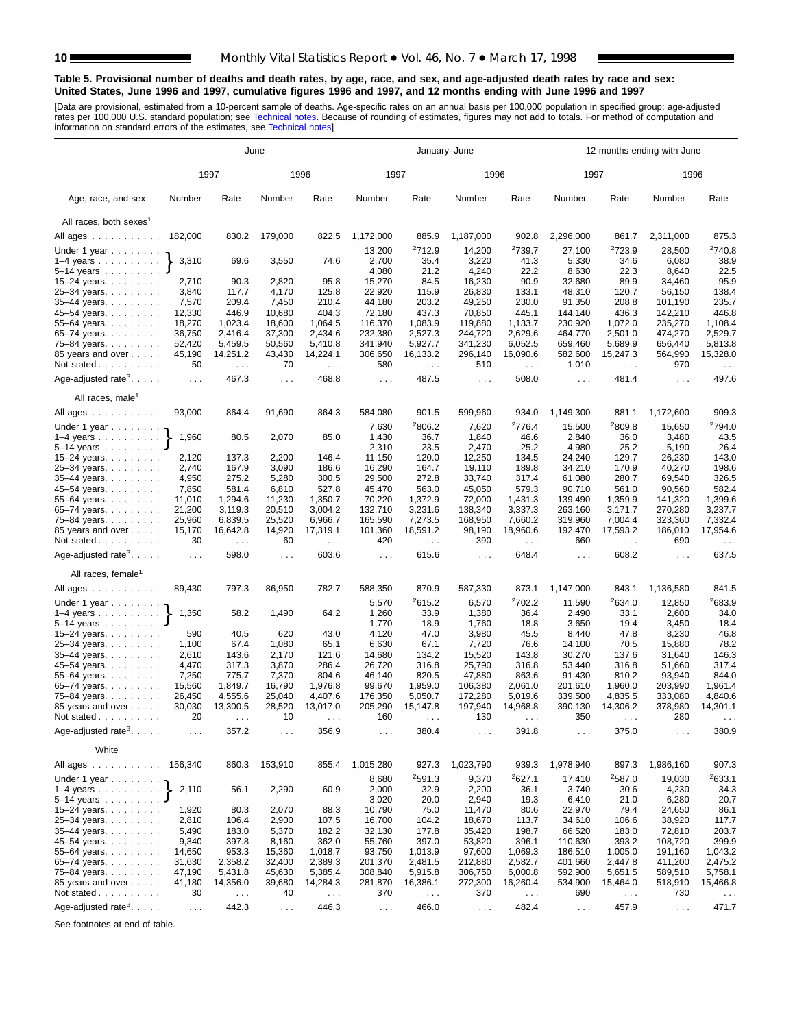#### **Table 5. Provisional number of deaths and death rates, by age, race, and sex, and age-adjusted death rates by race and sex: United States, June 1996 and 1997, cumulative figures 1996 and 1997, and 12 months ending with June 1996 and 1997**

[Data are provisional, estimated from a 10-percent sample of deaths. Age-specific rates on an annual basis per 100,000 population in specified group; age-adjusted<br>rates per 100,000 U.S. standard population; see Technical n

|                                                                 | June                 |                                  |                 |                                  |                      |                                  | January-June     |                            | 12 months ending with June  |                            |                             |                                  |  |
|-----------------------------------------------------------------|----------------------|----------------------------------|-----------------|----------------------------------|----------------------|----------------------------------|------------------|----------------------------|-----------------------------|----------------------------|-----------------------------|----------------------------------|--|
|                                                                 |                      | 1997                             |                 | 1996                             | 1997                 |                                  | 1996             |                            | 1997                        |                            | 1996                        |                                  |  |
| Age, race, and sex                                              | Number               | Rate                             | Number          | Rate                             | Number               | Rate                             | Number           | Rate                       | Number                      | Rate                       | Number                      | Rate                             |  |
| All races, both sexes <sup>1</sup>                              |                      |                                  |                 |                                  |                      |                                  |                  |                            |                             |                            |                             |                                  |  |
| All ages                                                        | 182,000              | 830.2                            | 179,000         | 822.5                            | 1,172,000            | 885.9                            | 1,187,000        | 902.8                      | 2,296,000                   | 861.7                      | 2,311,000                   | 875.3                            |  |
|                                                                 |                      |                                  |                 |                                  |                      |                                  |                  |                            |                             |                            |                             | 2740.8                           |  |
| Under 1 year                                                    | 3,310                | 69.6                             | 3,550           | 74.6                             | 13,200<br>2,700      | 2712.9<br>35.4                   | 14,200<br>3,220  | <sup>2</sup> 739.7<br>41.3 | 27,100                      | <sup>2</sup> 723.9<br>34.6 | 28,500<br>6,080             | 38.9                             |  |
| $1-4$ years $\ldots$ $\ldots$ $\ldots$ .<br>5–14 years $\ldots$ |                      |                                  |                 |                                  | 4,080                | 21.2                             | 4,240            | 22.2                       | 5,330<br>8,630              | 22.3                       | 8,640                       | 22.5                             |  |
| 15-24 years.                                                    | 2,710                | 90.3                             | 2,820           | 95.8                             | 15,270               | 84.5                             | 16,230           | 90.9                       | 32,680                      | 89.9                       | 34,460                      | 95.9                             |  |
| 25-34 years.                                                    | 3,840                | 117.7                            | 4,170           | 125.8                            | 22,920               | 115.9                            | 26,830           | 133.1                      | 48,310                      | 120.7                      | 56,150                      | 138.4                            |  |
| 35-44 years.                                                    | 7,570                | 209.4                            | 7,450           | 210.4                            | 44,180               | 203.2                            | 49,250           | 230.0                      | 91,350                      | 208.8                      | 101,190                     | 235.7                            |  |
| 45-54 years.                                                    | 12,330               | 446.9                            | 10,680          | 404.3                            | 72,180               | 437.3                            | 70,850           | 445.1                      | 144,140                     | 436.3                      | 142,210                     | 446.8                            |  |
| 55-64 years.                                                    | 18,270               | 1,023.4                          | 18,600          | 1,064.5                          | 116,370              | 1,083.9                          | 119,880          | 1,133.7                    | 230,920                     | 1,072.0                    | 235,270                     | 1,108.4                          |  |
| 65-74 years.                                                    | 36,750               | 2,416.4                          | 37,300          | 2,434.6                          | 232,380              | 2,527.3                          | 244,720          | 2,629.6                    | 464,770                     | 2,501.0                    | 474,270                     | 2,529.7                          |  |
| 75-84 years.                                                    | 52,420               | 5,459.5                          | 50,560          | 5,410.8                          | 341,940              | 5,927.7                          | 341,230          | 6,052.5                    | 659,460                     | 5,689.9                    | 656,440                     | 5,813.8                          |  |
| 85 years and over                                               | 45,190               | 14,251.2                         | 43,430          | 14,224.1                         | 306,650              | 16,133.2                         | 296,140          | 16,090.6                   | 582,600                     | 15,247.3                   | 564,990                     | 15,328.0                         |  |
| Not stated                                                      | 50                   | $\sim$ $\sim$                    | 70              | $\sim$ $\sim$                    | 580                  | $\sim$ $\sim$                    | 510              | $\sim$ $\sim$              | 1,010                       | $\sim$                     | 970                         | $\sim$ $\sim$                    |  |
| Age-adjusted rate <sup>3</sup> . $\ldots$ .                     | $\sim$ $\sim$ $\sim$ | 467.3                            | $\sim 100$      | 468.8                            | $\sim$ $\sim$ $\sim$ | 487.5                            | $\sim 100$       | 508.0                      | $\ldots$ .                  | 481.4                      | $\sim 10$ .                 | 497.6                            |  |
| All races, male <sup>1</sup>                                    |                      |                                  |                 |                                  |                      |                                  |                  |                            |                             |                            |                             |                                  |  |
| All ages                                                        | 93,000               | 864.4                            | 91,690          | 864.3                            | 584,080              | 901.5                            | 599,960          | 934.0                      | 1,149,300                   | 881.1                      | 1,172,600                   | 909.3                            |  |
| Under 1 year                                                    |                      |                                  |                 |                                  | 7,630                | 2806.2                           | 7,620            | <sup>2</sup> 776.4         | 15,500                      | <sup>2</sup> 809.8         | 15,650                      | <sup>2</sup> 794.0               |  |
| $1-4$ years                                                     | 1,960                | 80.5                             | 2,070           | 85.0                             | 1,430                | 36.7                             | 1,840            | 46.6                       | 2,840                       | 36.0                       | 3,480                       | 43.5                             |  |
| 5–14 years $\ldots$                                             |                      |                                  |                 |                                  | 2,310                | 23.5                             | 2,470            | 25.2                       | 4,980                       | 25.2                       | 5,190                       | 26.4                             |  |
| 15-24 years.                                                    | 2,120                | 137.3                            | 2,200           | 146.4                            | 11,150               | 120.0                            | 12,250           | 134.5                      | 24,240                      | 129.7                      | 26,230                      | 143.0                            |  |
| 25-34 years.                                                    | 2,740                | 167.9                            | 3,090           | 186.6                            | 16,290               | 164.7                            | 19,110           | 189.8                      | 34,210                      | 170.9                      | 40,270                      | 198.6                            |  |
| 35-44 years.                                                    | 4,950                | 275.2                            | 5,280           | 300.5                            | 29,500               | 272.8                            | 33,740           | 317.4                      | 61,080                      | 280.7                      | 69,540                      | 326.5                            |  |
| 45–54 years.                                                    | 7,850                | 581.4                            | 6,810           | 527.8                            | 45,470               | 563.0                            | 45,050           | 579.3                      | 90,710                      | 561.0                      | 90,560                      | 582.4                            |  |
| 55-64 years.                                                    | 11,010               | 1,294.6                          | 11,230          | 1,350.7                          | 70,220               | 1,372.9                          | 72,000           | 1,431.3                    | 139,490                     | 1,359.9                    | 141,320                     | 1,399.6                          |  |
| 65-74 years.                                                    | 21,200               | 3,119.3                          | 20.510          | 3.004.2                          | 132,710              | 3,231.6                          | 138,340          | 3,337.3                    | 263,160                     | 3,171.7                    | 270,280                     | 3,237.7                          |  |
| 75–84 years.                                                    | 25,960               | 6,839.5                          | 25,520          | 6,966.7                          | 165,590              | 7,273.5                          | 168,950          | 7,660.2                    | 319,960                     | 7,004.4                    | 323,360                     | 7,332.4                          |  |
| 85 years and over<br>Not stated                                 | 15,170<br>30         | 16,642.8<br>$\sim$ $\sim$ $\sim$ | 14,920<br>60    | 17,319.1<br>$\sim$ $\sim$ $\sim$ | 101,360<br>420       | 18,591.2<br>$\sim$ $\sim$ $\sim$ | 98,190<br>390    | 18,960.6<br>$\sim$ .       | 192,470<br>660              | 17,593.2<br>$\sim$ $\sim$  | 186,010<br>690              | 17,954.6<br>$\sim$ $\sim$ $\sim$ |  |
| Age-adjusted rate <sup>3</sup> . $\ldots$ .                     | $\ldots$             | 598.0                            | $\sim 10$       | 603.6                            | $\cdots$             | 615.6                            | $\sim 100$       | 648.4                      | $\ldots$ .                  | 608.2                      | $\sim 10$                   | 637.5                            |  |
| All races, female                                               |                      |                                  |                 |                                  |                      |                                  |                  |                            |                             |                            |                             |                                  |  |
| All ages                                                        | 89,430               | 797.3                            | 86,950          | 782.7                            | 588,350              | 870.9                            | 587,330          | 873.1                      | 1,147,000                   | 843.1                      | 1,136,580                   | 841.5                            |  |
| Under 1 year                                                    |                      |                                  |                 |                                  | 5,570                | 2615.2                           | 6,570            | <sup>2</sup> 702.2         | 11,590                      | 2634.0                     | 12,850                      | 2683.9                           |  |
| $1-4$ years $\ldots$ $\ldots$ $\ldots$                          | 1,350                | 58.2                             | 1,490           | 64.2                             | 1,260                | 33.9                             | 1,380            | 36.4                       | 2,490                       | 33.1                       | 2,600                       | 34.0                             |  |
| 5-14 years                                                      |                      |                                  |                 |                                  | 1,770                | 18.9                             | 1,760            | 18.8                       | 3,650                       | 19.4                       | 3,450                       | 18.4                             |  |
| 15-24 years.                                                    | 590                  | 40.5                             | 620             | 43.0                             | 4,120                | 47.0                             | 3,980            | 45.5                       | 8,440                       | 47.8                       | 8,230                       | 46.8                             |  |
| 25-34 years.                                                    | 1,100                | 67.4                             | 1,080           | 65.1                             | 6,630                | 67.1                             | 7,720            | 76.6                       | 14,100                      | 70.5                       | 15,880                      | 78.2                             |  |
| 35-44 years.                                                    | 2,610                | 143.6                            | 2,170           | 121.6                            | 14,680               | 134.2                            | 15,520           | 143.8                      | 30,270                      | 137.6                      | 31,640                      | 146.3                            |  |
| 45-54 years.                                                    | 4,470                | 317.3                            | 3,870           | 286.4                            | 26,720               | 316.8                            | 25,790           | 316.8                      | 53,440                      | 316.8                      | 51,660                      | 317.4                            |  |
| 55-64 years.                                                    | 7,250                | 775.7                            | 7,370           | 804.6                            | 46,140               | 820.5                            | 47,880           | 863.6                      | 91,430                      | 810.2                      | 93,940                      | 844.0                            |  |
| 65-74 years.                                                    | 15,560               | 1,849.7                          | 16,790          | 1,976.8                          | 99,670               | 1,959.0                          | 106,380          | 2,061.0                    | 201,610                     | 1,960.0                    | 203,990                     | 1,961.4                          |  |
| 75-84 years.                                                    | 26,450               | 4,555.6                          | 25,040          | 4,407.6                          | 176,350              | 5,050.7                          | 172,280          | 5,019.6                    | 339,500                     | 4,835.5                    | 333,080                     | 4,840.6                          |  |
| 85 years and over                                               | 30,030               | 13,300.5                         | 28,520          | 13,017.0                         | 205,290              | 15,147.8                         | 197,940          | 14,968.8                   | 390,130                     | 14,306.2                   | 378,980                     | 14,301.1                         |  |
| Not stated<br>Age-adjusted rate <sup>3</sup> .                  | 20<br>$\cdots$       | 357.2                            | 10<br>$\cdots$  | 356.9                            | 160<br>$\cdots$      | 380.4                            | 130<br>$\cdots$  | 391.8                      | 350<br>$\sim$ $\sim$ $\sim$ | 375.0                      | 280<br>$\sim$ $\sim$ $\sim$ | 380.9                            |  |
| White                                                           |                      |                                  |                 |                                  |                      |                                  |                  |                            |                             |                            |                             |                                  |  |
| All ages                                                        | 156,340              | 860.3                            | 153,910         | 855.4                            | 1,015,280            | 927.3                            | 1,023,790        | 939.3                      | 1,978,940                   | 897.3                      | 1,986,160                   | 907.3                            |  |
| Under 1 year                                                    |                      |                                  |                 |                                  | 8,680                | 2591.3                           | 9,370            | 2627.1                     | 17,410                      | <sup>2</sup> 587.0         | 19,030                      | <sup>2</sup> 633.1               |  |
| $1-4$ years                                                     | 2,110                | 56.1                             | 2,290           | 60.9                             | 2,000                | 32.9                             | 2,200            | 36.1                       | 3,740                       | 30.6                       | 4,230                       | 34.3                             |  |
| 5-14 years<br>15-24 years.                                      |                      |                                  |                 |                                  | 3,020                | 20.0                             | 2,940            | 19.3                       | 6,410                       | 21.0                       | 6,280                       | 20.7                             |  |
|                                                                 | 1,920                | 80.3                             | 2,070           | 88.3                             | 10,790               | 75.0                             | 11,470           | 80.6                       | 22,970                      | 79.4                       | 24,650                      | 86.1                             |  |
| 25-34 years.                                                    | 2,810                | 106.4                            | 2,900           | 107.5                            | 16,700               | 104.2                            | 18,670           | 113.7                      | 34,610                      | 106.6                      | 38,920                      | 117.7                            |  |
| 35-44 years.                                                    | 5,490                | 183.0                            | 5,370           | 182.2<br>362.0                   | 32,130<br>55,760     | 177.8<br>397.0                   | 35,420           | 198.7<br>396.1             | 66,520                      | 183.0                      | 72,810                      | 203.7<br>399.9                   |  |
| 45-54 years.<br>55-64 years.                                    | 9,340<br>14,650      | 397.8<br>953.3                   | 8,160<br>15,360 | 1,018.7                          | 93,750               | 1,013.9                          | 53,820<br>97,600 | 1,069.3                    | 110,630<br>186,510          | 393.2<br>1,005.0           | 108,720<br>191,160          | 1,043.2                          |  |
| 65-74 years.                                                    | 31,630               | 2,358.2                          | 32,400          | 2,389.3                          | 201,370              | 2,481.5                          | 212,880          | 2,582.7                    | 401,660                     | 2,447.8                    | 411,200                     | 2,475.2                          |  |
| 75-84 years.                                                    | 47,190               | 5,431.8                          | 45,630          | 5,385.4                          | 308,840              | 5,915.8                          | 306,750          | 6,000.8                    | 592,900                     | 5,651.5                    | 589,510                     | 5,758.1                          |  |
| 85 years and over                                               | 41,180               | 14,356.0                         | 39,680          | 14,284.3                         | 281,870              | 16,386.1                         | 272,300          | 16,260.4                   | 534,900                     | 15,464.0                   | 518,910                     | 15,466.8                         |  |
| Not stated                                                      | 30                   |                                  | 40              |                                  | 370                  |                                  | 370              |                            | 690                         |                            | 730                         |                                  |  |
|                                                                 |                      | $\sim$ $\sim$                    |                 | $\sim$ $\sim$                    |                      | $\sim$ $\sim$                    |                  | $\sim$ $\sim$              |                             | $\epsilon$ .               |                             | $\sim$ $\sim$                    |  |
| Age-adjusted rate <sup>3</sup> . $\ldots$ .                     | $\ldots$             | 442.3                            | $\sim$ $\sim$   | 446.3                            | $\sim$ $\sim$ $\sim$ | 466.0                            | $\sim$ $\sim$    | 482.4                      | $\sim$ $\sim$ $\sim$        | 457.9                      | $\sim$ $\sim$               | 471.7                            |  |

See footnotes at end of table.

<span id="page-9-0"></span>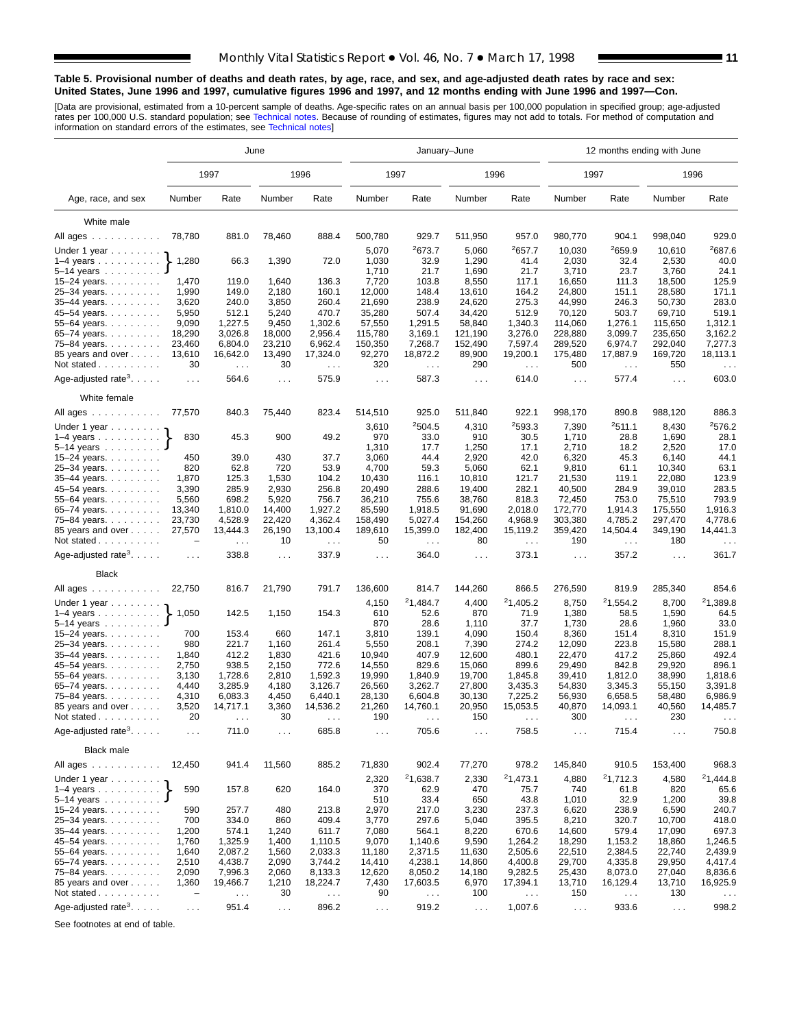#### **Table 5. Provisional number of deaths and death rates, by age, race, and sex, and age-adjusted death rates by race and sex: United States, June 1996 and 1997, cumulative figures 1996 and 1997, and 12 months ending with June 1996 and 1997—Con.**

[Data are provisional, estimated from a 10-percent sample of deaths. Age-specific rates on an annual basis per 100,000 population in specified group; age-adjusted<br>rates per 100,000 U.S. standard population; see Technical n

|                                                                | June                 |                                  |              |                                  |                                | January-June                     |                    |                            | 12 months ending with June  |                            |                  |                                  |  |  |
|----------------------------------------------------------------|----------------------|----------------------------------|--------------|----------------------------------|--------------------------------|----------------------------------|--------------------|----------------------------|-----------------------------|----------------------------|------------------|----------------------------------|--|--|
|                                                                |                      | 1997                             |              | 1996                             | 1997                           |                                  |                    | 1996                       |                             | 1997                       |                  | 1996                             |  |  |
| Age, race, and sex                                             | Number               | Rate                             | Number       | Rate                             | Number                         | Rate                             | Number             | Rate                       | Number                      | Rate                       | Number           | Rate                             |  |  |
| White male                                                     |                      |                                  |              |                                  |                                |                                  |                    |                            |                             |                            |                  |                                  |  |  |
| All ages                                                       | 78,780               | 881.0                            | 78,460       | 888.4                            | 500,780                        | 929.7                            | 511,950            | 957.0                      | 980,770                     | 904.1                      | 998,040          | 929.0                            |  |  |
|                                                                |                      |                                  |              |                                  |                                |                                  |                    |                            |                             |                            |                  | 2687.6                           |  |  |
| Under 1 year                                                   | 1,280                | 66.3                             | 1,390        |                                  | 2673.7<br>5,070<br>72.0        |                                  | 5,060<br>1,290     | <sup>2</sup> 657.7<br>41.4 | 10,030<br>2,030             | <sup>2</sup> 659.9<br>32.4 | 10,610<br>2,530  | 40.0                             |  |  |
| $1-4$ years $\ldots$ $\ldots$ $\ldots$ .<br>5–14 years $\dots$ |                      |                                  |              |                                  | 32.9<br>1,030<br>1,710<br>21.7 |                                  | 1,690              | 21.7                       | 3,710                       | 23.7                       | 3,760            | 24.1                             |  |  |
| 15-24 years.                                                   | 1,470                | 119.0                            | 1,640        | 136.3                            | 7,720                          | 103.8                            | 8,550              | 117.1                      | 16,650                      | 111.3                      | 18,500           | 125.9                            |  |  |
| 25-34 years.                                                   | 1,990                | 149.0                            | 2,180        | 160.1                            | 12,000                         | 148.4                            | 13,610             | 164.2                      | 24,800                      | 151.1                      | 28,580           | 171.1                            |  |  |
| 35-44 years.                                                   | 3,620                | 240.0                            | 3,850        | 260.4                            | 21,690                         | 238.9                            | 24,620             | 275.3                      | 44,990                      | 246.3                      | 50,730           | 283.0                            |  |  |
| 45-54 years                                                    | 5,950                | 512.1                            | 5,240        | 470.7                            | 35,280                         | 507.4                            | 34,420             | 512.9                      | 70,120                      | 503.7                      | 69,710           | 519.1                            |  |  |
| 55-64 years.                                                   | 9,090                | 1,227.5                          | 9,450        | 1,302.6                          | 57,550                         | 1,291.5                          | 58,840             | 1,340.3                    | 114,060                     | 1,276.1                    | 115,650          | 1,312.1                          |  |  |
| 65-74 years                                                    | 18,290               | 3,026.8                          | 18,000       | 2,956.4                          | 115,780                        | 3,169.1                          | 121,190            | 3,276.0                    | 228,880                     | 3,099.7                    | 235,650          | 3,162.2                          |  |  |
| 75-84 years                                                    | 23,460               | 6,804.0                          | 23,210       | 6,962.4                          | 150,350                        | 7,268.7                          | 152,490            | 7,597.4                    | 289,520                     | 6,974.7                    | 292,040          | 7,277.3                          |  |  |
| 85 years and over                                              | 13,610               | 16,642.0                         | 13,490       | 17,324.0                         | 92,270                         | 18,872.2                         | 89,900             | 19,200.1                   | 175,480                     | 17,887.9                   | 169,720          | 18,113.1                         |  |  |
| Not stated $\ldots$                                            | 30                   | $\sim 10$ .                      | 30           | $\sim 100$                       | 320                            | $\sim$ $\sim$                    | 290                | $\sim$ $\sim$              | 500<br>$\sim$ $\sim$ $\sim$ |                            | 550              | $\sim$ $\sim$ $\sim$             |  |  |
| Age-adjusted rate <sup>3</sup> . $\ldots$ .                    | $\sim 100$           | 564.6                            | .            | 575.9                            | 587.3<br>$\sim 100$            |                                  | $\sim 100$         | 614.0                      | $\sim 100$                  | 577.4                      | $\sim 100$       | 603.0                            |  |  |
| White female                                                   |                      |                                  |              |                                  |                                |                                  |                    |                            |                             |                            |                  |                                  |  |  |
| All ages                                                       | 77,570               | 840.3                            | 75,440       | 823.4                            | 514,510                        | 925.0                            | 922.1<br>511,840   |                            | 998,170                     | 890.8                      | 988,120          | 886.3                            |  |  |
| Under 1 year                                                   |                      |                                  |              |                                  | 3,610                          | 2504.5                           | 4,310              | 2593.3                     | 7,390                       | 2511.1                     | 8,430            | <sup>2</sup> 576.2               |  |  |
| $1-4$ years                                                    | 830                  | 45.3                             | 900          | 49.2                             | 970                            | 33.0                             | 910                | 30.5                       | 1,710                       | 28.8                       | 1,690            | 28.1                             |  |  |
| $5 - 14$ years                                                 |                      |                                  |              |                                  | 1,310                          | 17.7                             | 1,250              | 17.1                       | 2,710                       | 18.2                       | 2,520            | 17.0                             |  |  |
| 15-24 years.                                                   | 450                  | 39.0                             | 430          | 37.7                             | 3,060                          | 44.4                             | 2,920              | 42.0                       | 6,320                       | 45.3                       | 6,140            | 44.1                             |  |  |
| 25-34 years.<br>35-44 years.                                   | 820<br>1,870         | 62.8<br>125.3                    | 720<br>1,530 | 53.9<br>104.2                    | 4,700<br>10,430                | 59.3<br>116.1                    | 5,060<br>10,810    | 62.1<br>121.7              | 9,810<br>21,530             | 61.1<br>119.1              | 10,340<br>22,080 | 63.1<br>123.9                    |  |  |
| 45–54 years                                                    | 3,390                | 285.9                            | 2,930        | 256.8                            | 20,490                         | 288.6                            | 19,400             | 282.1                      | 40,500                      | 284.9                      | 39,010           | 283.5                            |  |  |
| 55-64 years.                                                   | 5,560                | 698.2                            | 5,920        | 756.7                            | 36,210                         | 755.6                            | 38,760<br>818.3    |                            | 72,450<br>753.0             |                            | 75,510           | 793.9                            |  |  |
| 65-74 years.                                                   | 13,340               | 1,810.0                          | 14,400       | 1,927.2                          | 85,590                         | 1,918.5                          | 91,690<br>2,018.0  |                            | 172,770                     | 1,914.3                    | 175.550          | 1,916.3                          |  |  |
| 75–84 years                                                    | 23,730               | 4,528.9                          | 22,420       | 4,362.4                          | 158,490                        | 5,027.4                          | 154,260<br>4,968.9 |                            | 303,380<br>4,785.2          |                            | 297,470          | 4,778.6                          |  |  |
| 85 years and over<br>Not stated                                | 27,570               | 13,444.3<br>$\sim$ $\sim$ $\sim$ | 26,190<br>10 | 13,100.4<br>$\sim$ $\sim$ $\sim$ | 189,610<br>50                  | 15,399.0<br>$\sim$ $\sim$ $\sim$ | 182,400<br>80      | 15,119.2<br>$\cdots$       | 359,420<br>190              | 14,504.4<br>$\sim$ $\sim$  | 349,190<br>180   | 14,441.3<br>$\sim$ $\sim$ $\sim$ |  |  |
| Age-adjusted rate <sup>3</sup> . $\ldots$ .                    | $\sim$ $\sim$ $\sim$ | 338.8                            | $\mathbf{1}$ | 337.9                            | $\sim$ $\sim$ $\sim$           | 364.0                            | $\sim 10$          | 373.1                      | $\sim 100$                  | 357.2                      | .                | 361.7                            |  |  |
| <b>Black</b>                                                   |                      |                                  |              |                                  |                                |                                  |                    |                            |                             |                            |                  |                                  |  |  |
| All ages                                                       | 22,750               | 816.7                            | 21,790       | 791.7                            | 136,600                        | 814.7                            | 144,260<br>866.5   |                            | 276,590                     | 819.9                      | 285,340          | 854.6                            |  |  |
| Under 1 year                                                   |                      |                                  |              |                                  | 4,150                          | 21,484.7                         | 4,400              | <sup>2</sup> 1,405.2       | 8,750                       | 21,554.2                   | 8,700            | 21,389.8                         |  |  |
| $1-4$ years $\ldots$<br>5-14 years                             | 1,050                | 142.5                            | 1,150        | 154.3                            | 610<br>870                     | 52.6<br>28.6                     | 870<br>1,110       | 71.9<br>37.7               | 1,380<br>1,730              | 58.5<br>28.6               | 1,590<br>1,960   | 64.5<br>33.0                     |  |  |
| 15-24 years.                                                   | 700                  | 153.4                            | 660          | 147.1                            | 3,810                          | 139.1                            | 4,090              | 150.4                      | 8,360                       | 151.4                      | 8,310            | 151.9                            |  |  |
| 25-34 years.                                                   | 980                  | 221.7                            | 1,160        | 261.4                            | 5,550                          | 208.1                            | 7,390              | 274.2                      | 12,090                      | 223.8                      | 15,580           | 288.1                            |  |  |
| 35-44 years.                                                   | 1,840                | 412.2                            | 1,830        | 421.6                            | 10,940                         | 407.9                            | 12,600             | 480.1                      | 22,470                      | 417.2                      | 25,860           | 492.4                            |  |  |
| 45-54 years.                                                   | 2,750                | 938.5                            | 2,150        | 772.6                            | 14,550                         | 829.6                            | 15,060             | 899.6                      | 29,490                      | 842.8                      | 29,920           | 896.1                            |  |  |
| 55-64 years.                                                   | 3,130                | 1,728.6                          | 2,810        | 1,592.3                          | 19,990                         | 1,840.9                          | 19,700             | 1,845.8                    | 39,410                      | 1,812.0                    | 38,990           | 1,818.6                          |  |  |
| 65-74 years.                                                   | 4,440                | 3,285.9                          | 4,180        | 3,126.7                          | 26,560                         | 3,262.7                          | 27,800             | 3,435.3                    | 54,830                      | 3,345.3                    | 55,150           | 3,391.8                          |  |  |
| 75-84 years.                                                   | 4,310                | 6,083.3                          | 4,450        | 6,440.1                          | 28,130                         | 6,604.8                          | 30,130             | 7,225.2                    | 56,930                      | 6,658.5                    | 58,480           | 6,986.9                          |  |  |
| 85 years and over                                              | 3,520                | 14,717.1                         | 3,360        | 14,536.2                         | 21,260                         | 14,760.1                         | 20,950             | 15,053.5                   | 40,870                      | 14,093.1                   | 40,560           | 14,485.7                         |  |  |
| Not stated                                                     | 20                   |                                  | 30           |                                  | 190                            |                                  | 150                |                            | 300                         |                            | 230              |                                  |  |  |
| Age-adjusted rate <sup>3</sup> .                               | $\sim$ $\sim$ $\sim$ | 711.0                            | $\sim$ .     | 685.8                            | $\sim$ $\sim$ $\sim$           | 705.6                            | $\sim$ $\sim$      | 758.5                      | $\sim$ $\sim$               | 715.4                      | $\sim$ $\sim$    | 750.8                            |  |  |
| <b>Black male</b><br>All ages                                  | 12,450               | 941.4                            | 11,560       | 885.2                            | 71,830                         | 902.4                            | 77,270             | 978.2                      | 145,840                     | 910.5                      | 153,400          | 968.3                            |  |  |
| Under 1 year                                                   |                      |                                  |              |                                  | 2,320                          | <sup>2</sup> 1,638.7             | 2,330              | <sup>2</sup> 1,473.1       | 4,880                       | 21,712.3                   | 4,580            | 21,444.8                         |  |  |
| $1-4$ years                                                    | 590                  | 157.8                            | 620          | 164.0                            | 370                            | 62.9                             | 470                | 75.7                       | 740                         | 61.8                       | 820              | 65.6                             |  |  |
| 5-14 years                                                     |                      |                                  |              |                                  | 510                            | 33.4                             | 650                | 43.8                       | 1,010                       | 32.9                       | 1,200            | 39.8                             |  |  |
| 15–24 years. $\ldots$                                          | 590                  | 257.7                            | 480          | 213.8                            | 2,970                          | 217.0                            | 3,230              | 237.3                      | 6,620                       | 238.9                      | 6,590            | 240.7                            |  |  |
| 25-34 years.                                                   | 700                  | 334.0                            | 860          | 409.4                            | 3,770                          | 297.6                            | 5,040              | 395.5                      | 8,210                       | 320.7                      | 10,700           | 418.0                            |  |  |
| 35-44 years.                                                   | 1,200                | 574.1                            | 1,240        | 611.7                            | 7,080                          | 564.1                            | 8,220              | 670.6                      | 14,600                      | 579.4                      | 17,090           | 697.3                            |  |  |
| 45-54 years.                                                   | 1,760                | 1,325.9                          | 1,400        | 1,110.5                          | 9,070                          | 1,140.6                          | 9,590              | 1,264.2                    | 18,290                      | 1,153.2                    | 18,860           | 1,246.5                          |  |  |
| 55-64 years.                                                   | 1,640                | 2,087.2                          | 1,560        | 2,033.3                          | 11,180                         | 2,371.5                          | 11,630             | 2,505.6                    | 22,510                      | 2,384.5                    | 22,740           | 2,439.9                          |  |  |
| 65-74 years.                                                   | 2,510                | 4,438.7                          | 2,090        | 3,744.2                          | 14,410                         | 4,238.1                          | 14,860             | 4,400.8                    | 29,700                      | 4,335.8                    | 29,950           | 4,417.4                          |  |  |
| 75-84 years.<br>85 years and over                              | 2,090                | 7,996.3<br>19,466.7              | 2,060        | 8,133.3                          | 12,620                         | 8,050.2                          | 14,180             | 9,282.5                    | 25,430                      | 8,073.0                    | 27,040           | 8,836.6                          |  |  |
| Not stated                                                     | 1,360<br>-           |                                  | 1,210<br>30  | 18,224.7                         | 7,430<br>90                    | 17,603.5                         | 6,970<br>100       | 17,394.1                   | 13,710<br>150               | 16,129.4                   | 13,710<br>130    | 16,925.9                         |  |  |
|                                                                |                      | $\sim$ $\sim$                    |              | $\sim$ $\sim$                    |                                | $\sim$ $\sim$                    |                    | $\sim$ $\sim$              |                             | $\epsilon$ .               |                  | $\sim$ $\sim$                    |  |  |
| Age-adjusted rate <sup>3</sup> .                               | $\sim$ $\sim$        | 951.4                            | $\sim$ .     | 896.2                            | $\sim$ $\sim$ $\sim$           | 919.2                            | $\sim$ $\sim$      | 1,007.6                    | $\sim 100$                  | 933.6                      | $\sim$ $\sim$    | 998.2                            |  |  |

See footnotes at end of table.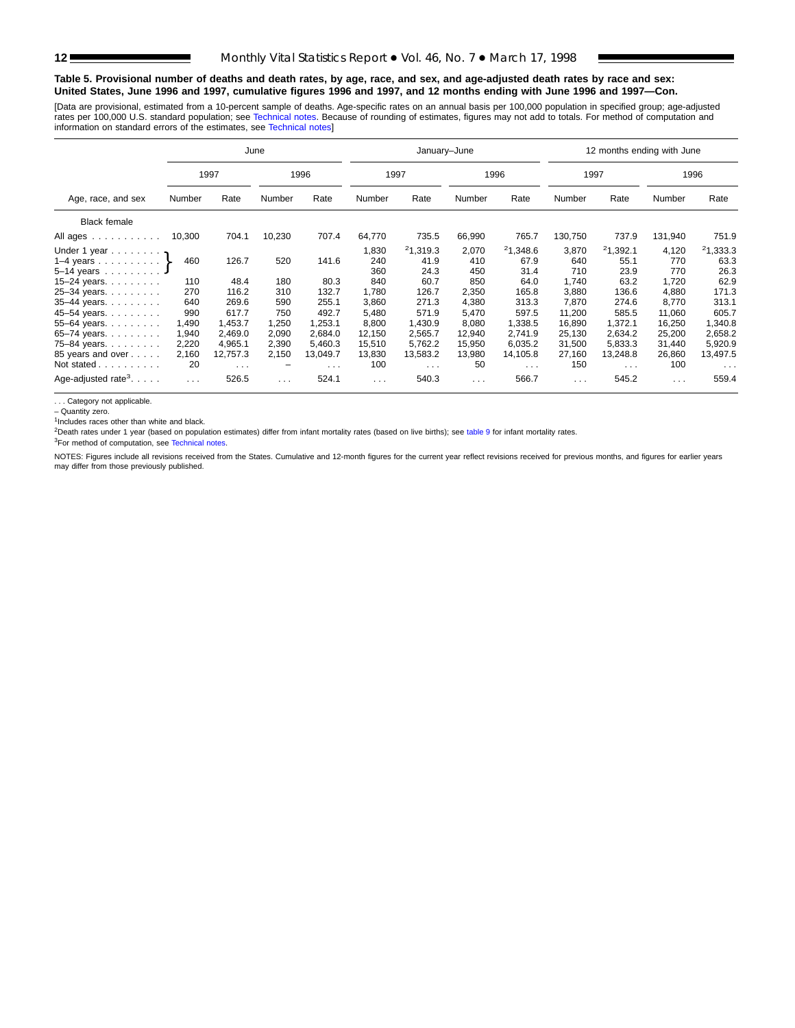#### **Table 5. Provisional number of deaths and death rates, by age, race, and sex, and age-adjusted death rates by race and sex: United States, June 1996 and 1997, cumulative figures 1996 and 1997, and 12 months ending with June 1996 and 1997—Con.**

[Data are provisional, estimated from a 10-per[cent sample of deaths](#page-16-0). Age-specific rates on an annual basis per 100,000 population in specified group; age-adjusted rates per 100,000 U.S. standard population; see Technical notes. Because of rounding of estimates, figures may not add to totals. For method of computation and<br>information on standard errors of the estimates, see Technical

|                         |                                                                                             |                                |                                |                                |                                      |                                |                                          |                                |                                         |                                | 1996                                                                  |
|-------------------------|---------------------------------------------------------------------------------------------|--------------------------------|--------------------------------|--------------------------------|--------------------------------------|--------------------------------|------------------------------------------|--------------------------------|-----------------------------------------|--------------------------------|-----------------------------------------------------------------------|
|                         | Rate                                                                                        | Number                         | Rate                           | Rate<br>Number                 |                                      | Number                         | Rate                                     | Number                         | Rate                                    | Number                         | Rate                                                                  |
|                         |                                                                                             |                                |                                |                                |                                      |                                |                                          |                                |                                         |                                |                                                                       |
| 10,300                  | 704.1                                                                                       | 10,230                         | 707.4                          | 64,770                         | 735.5                                | 66,990                         | 765.7                                    | 130,750                        | 737.9                                   | 131,940                        | 751.9                                                                 |
| 460                     | 126.7                                                                                       | 520                            | 141.6                          | 1,830<br>240<br>360            | 21,319.3<br>41.9<br>24.3             | 2,070<br>410<br>450            | 21,348.6<br>67.9<br>31.4                 | 3,870<br>640<br>710            | 21,392.1<br>55.1<br>23.9                | 4,120<br>770<br>770            | 21,333.3<br>63.3<br>26.3<br>62.9                                      |
| 270<br>640              | 116.2<br>269.6                                                                              | 310<br>590                     | 132.7<br>255.1                 | 1,780<br>3,860                 | 126.7<br>271.3                       | 2,350<br>4,380                 | 165.8<br>313.3                           | 3,880<br>7,870                 | 136.6<br>274.6                          | 4,880<br>8,770                 | 171.3<br>313.1<br>605.7                                               |
| 1,490<br>1,940<br>2,220 | 1,453.7<br>2,469.0<br>4,965.1                                                               | 1,250<br>2,090<br>2,390        | 1.253.1<br>2,684.0<br>5,460.3  | 8,800<br>12,150<br>15,510      | 1,430.9<br>2,565.7<br>5,762.2        | 8,080<br>12,940<br>15,950      | 1,338.5<br>2,741.9<br>6,035.2            | 16,890<br>25,130<br>31,500     | 1,372.1<br>2,634.2<br>5,833.3           | 16,250<br>25,200<br>31,440     | 1,340.8<br>2,658.2<br>5,920.9                                         |
| 2,160<br>20             | 12,757.3<br>$\cdots$                                                                        | 2,150<br>-                     | 13,049.7<br>$\cdots$           | 13,830<br>100                  | 13,583.2<br>$\cdots$                 | 13,980<br>50                   | 14,105.8<br>$\sim$ $\sim$ $\sim$         | 27,160<br>150                  | 13,248.8<br>$\cdots$                    | 26,860<br>100                  | 13,497.5<br>$\cdots$<br>559.4                                         |
|                         | Number<br>Under 1 year $\eta$<br>1–4 years $\ldots$ $\ldots$ $\}$<br>110<br>990<br>$\cdots$ | 1997<br>48.4<br>617.7<br>526.5 | June<br>180<br>750<br>$\cdots$ | 1996<br>80.3<br>492.7<br>524.1 | 840<br>5,480<br>$\sim$ $\sim$ $\sim$ | 1997<br>60.7<br>571.9<br>540.3 | January-June<br>850<br>5,470<br>$\cdots$ | 1996<br>64.0<br>597.5<br>566.7 | 1,740<br>11,200<br>$\sim$ $\sim$ $\sim$ | 1997<br>63.2<br>585.5<br>545.2 | 12 months ending with June<br>1,720<br>11,060<br>$\sim$ $\sim$ $\sim$ |

. . . Category not applicable.

– Quantity zero.

<sup>1</sup>Includes races other than white and black.

<sup>2</sup>Death rates under 1 year (based on population estimates) differ from infant mortality rates (based on live births); see [table 9](#page-15-0) for infant mortality rates.

3For method of computation, see [Technical notes.](#page-16-0)

NOTES: Figures include all revisions received from the States. Cumulative and 12-month figures for the current year reflect revisions received for previous months, and figures for earlier years may differ from those previously published.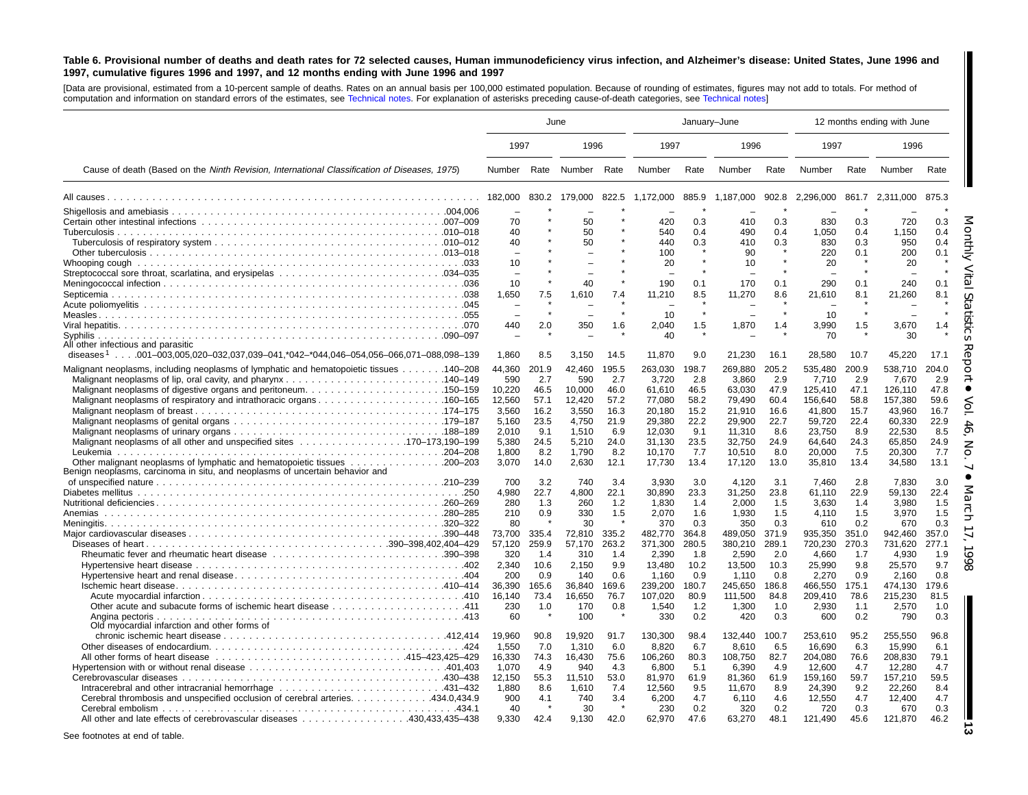#### <span id="page-12-0"></span>Table 6. Provisional number of deaths and death rates for 72 selected causes, Human immunodeficiency virus infection, and Alzheimer's disease: United States, June 1996 and 1997, cumulative figures 1996 and 1997, and 12 months ending with June 1996 and 1997

[Data are provisional, estimated from <sup>a</sup> 10-percent sample of deaths. Rates on an annual basis per 100,000 estimated population. Because of rounding of [estimates,](#page-16-0) figures may not add to totals. For method of computation and information on standard errors of the estimates, see [Technical](#page-16-0) notes. For explanation of asterisks preceding cause-of-death categories, see Technical notes]

|                                                                                                                                       |                  | June           |                  | January-June   |                    |                |                    |                |                    |                | 12 months ending with June |                |
|---------------------------------------------------------------------------------------------------------------------------------------|------------------|----------------|------------------|----------------|--------------------|----------------|--------------------|----------------|--------------------|----------------|----------------------------|----------------|
|                                                                                                                                       | 1997             |                | 1996             |                | 1997               |                | 1996               |                | 1997               |                | 1996                       |                |
| Cause of death (Based on the Ninth Revision, International Classification of Diseases, 1975)                                          | Number           |                | Rate Number Rate |                | Number             | Rate           | Number             | Rate           | Number             | Rate           | Number                     | Rate           |
|                                                                                                                                       | 182,000          |                | 830.2 179,000    |                | 822.5 1,172,000    | 885.9          | 1.187.000          | 902.8          | 2.296.000          |                | 861.7 2.311.000            | 875.3          |
|                                                                                                                                       |                  |                |                  |                |                    |                |                    |                |                    |                |                            |                |
|                                                                                                                                       | 70               |                | 50               |                | 420                | 0.3            | 410                | 0.3            | 830                | 0.3            | 720                        | 0.3            |
|                                                                                                                                       | 40               |                | 50               |                | 540                | 0.4            | 490                | 0.4            | 1,050              | 0.4            | 1,150                      | 0.4            |
|                                                                                                                                       | 40               |                | 50               |                | 440<br>100         | 0.3            | 410<br>90          | 0.3            | 830<br>220         | 0.3<br>0.1     | 950<br>200                 | 0.4<br>0.1     |
|                                                                                                                                       | 10               |                |                  |                | 20                 |                | 10                 |                | 20                 |                | 20                         |                |
|                                                                                                                                       |                  |                |                  |                |                    |                |                    |                |                    |                |                            |                |
|                                                                                                                                       | 10               |                | 40               |                | 190                | 0.1            | 170                | 0.1            | 290                | 0.1            | 240                        | 0.1            |
|                                                                                                                                       | 1,650            | 7.5            | 1,610            | 7.4            | 11,210             | 8.5            | 11,270             | 8.6            | 21,610             | 8.1            | 21,260                     | 8.1            |
|                                                                                                                                       |                  |                |                  |                |                    |                |                    |                |                    |                |                            |                |
|                                                                                                                                       |                  |                | $\sim$           |                | 10                 |                | $\sim$             |                | 10                 | $\star$        |                            |                |
|                                                                                                                                       | 440              | 2.0            | 350              | 1.6            | 2,040              | 1.5            | 1,870              | 1.4            | 3,990              | 1.5            | 3,670                      | 1.4            |
|                                                                                                                                       |                  |                |                  |                | 40                 |                |                    |                | 70                 |                | 30                         |                |
| All other infectious and parasitic<br>diseases <sup>1</sup> 001–003,005,020–032,037,039–041,*042–*044,046–054,056–066,071–088,098–139 | 1,860            | 8.5            | 3,150            | 14.5           | 11,870             | 9.0            | 21,230             | 16.1           | 28,580             | 10.7           | 45,220                     | 17.1           |
|                                                                                                                                       |                  |                |                  |                |                    |                |                    |                |                    |                |                            |                |
| Malignant neoplasms, including neoplasms of lymphatic and hematopoietic tissues 140–208                                               | 44,360           | 201.9          | 42.460           | 195.5          | 263,030            | 198.7          | 269.880            | 205.2          | 535.480            | 200.9          | 538.710                    | 204.0          |
|                                                                                                                                       | 590<br>10,220    | 2.7<br>46.5    | 590<br>10,000    | 2.7<br>46.0    | 3,720<br>61,610    | 2.8<br>46.5    | 3,860<br>63,030    | 2.9<br>47.9    | 7,710<br>125,410   | 2.9<br>47.1    | 7,670<br>126,110           | 2.9<br>47.8    |
| Malignant neoplasms of respiratory and intrathoracic organs160–165                                                                    | 12,560           | 57.1           | 12,420           | 57.2           | 77,080             | 58.2           | 79.490             | 60.4           | 156,640            | 58.8           | 157,380                    | 59.6           |
|                                                                                                                                       | 3,560            | 16.2           | 3,550            | 16.3           | 20,180             | 15.2           | 21,910             | 16.6           | 41,800             | 15.7           | 43,960                     | 16.7           |
|                                                                                                                                       | 5,160            | 23.5           | 4,750            | 21.9           | 29,380             | 22.2           | 29,900             | 22.7           | 59,720             | 22.4           | 60,330                     | 22.9           |
|                                                                                                                                       | 2,010            | 9.1            | 1,510            | 6.9            | 12,030             | 9.1            | 11.310             | 8.6            | 23,750             | 8.9            | 22,530                     | 8.5            |
| Malignant neoplasms of all other and unspecified sites 170–173,190–199                                                                | 5,380            | 24.5           | 5.210            | 24.0           | 31,130             | 23.5           | 32.750             | 24.9           | 64,640             | 24.3           | 65,850                     | 24.9           |
|                                                                                                                                       | 1,800            | 8.2            | 1,790            | 8.2            | 10,170             | 7.7            | 10,510             | 8.0            | 20,000             | 7.5            | 20,300                     | 7.7            |
| Benign neoplasms, carcinoma in situ, and neoplasms of uncertain behavior and                                                          | 3,070            | 14.0           | 2,630            | 12.1           | 17,730             | 13.4           | 17,120             | 13.0           | 35,810             | 13.4           | 34,580                     | 13.1           |
|                                                                                                                                       | 700              | 3.2            | 740              | 3.4            | 3.930              | 3.0            | 4.120              | 3.1            | 7.460              | 2.8            | 7.830                      | 3.0            |
|                                                                                                                                       | 4,980            | 22.7           | 4,800            | 22.1           | 30,890             | 23.3           | 31,250             | 23.8           | 61,110             | 22.9           | 59,130                     | 22.4           |
|                                                                                                                                       | 280              | 1.3            | 260              | 1.2            | 1.830              | 1.4            | 2,000              | 1.5            | 3,630              | 1.4            | 3,980                      | 1.5            |
| Anemias                                                                                                                               | 210              | 0.9            | 330              | 1.5            | 2,070              | 1.6            | 1,930              | 1.5            | 4,110              | 1.5            | 3,970                      | 1.5            |
|                                                                                                                                       | -80              |                | 30               |                | 370                | 0.3            | 350                | 0.3            | 610                | 0.2            | 670                        | 0.3            |
|                                                                                                                                       | 73,700<br>57,120 | 335.4<br>259.9 | 72,810<br>57,170 | 335.2<br>263.2 | 482,770<br>371,300 | 364.8<br>280.5 | 489,050<br>380.210 | 371.9<br>289.1 | 935,350<br>720,230 | 351.0<br>270.3 | 942,460<br>731,620         | 357.0<br>277.1 |
|                                                                                                                                       | 320              | 1.4            | 310              | 1.4            | 2,390              | 1.8            | 2,590              | 2.0            | 4,660              | 1.7            | 4,930                      | 1.9            |
|                                                                                                                                       | 2.340            | 10.6           | 2,150            | 9.9            | 13.480             | 10.2           | 13.500             | 10.3           | 25,990             | 9.8            | 25,570                     | 9.7            |
|                                                                                                                                       | 200              | 0.9            | 140              | 0.6            | 1,160              | 0.9            | 1,110              | 0.8            | 2,270              | 0.9            | 2,160                      | 0.8            |
|                                                                                                                                       | 36.390           | 165.6          | 36,840           | 169.6          | 239,200            | 180.7          | 245,650            | 186.8          | 466,550            | 175.1          | 474.130                    | 179.6          |
|                                                                                                                                       | 16,140           | 73.4           | 16,650           | 76.7           | 107.020            | 80.9           | 111.500            | 84.8           | 209,410            | 78.6           | 215,230                    | 81.5           |
|                                                                                                                                       | 230              | 1.0            | 170              | 0.8            | 1,540              | 1.2            | 1,300              | 1.0            | 2,930              | 1.1            | 2,570                      | 1.0            |
| Angina pectoris                                                                                                                       | 60               |                | 100              |                | 330                | 0.2            | 420                | 0.3            | 600                | 0.2            | 790                        | 0.3            |
| Old myocardial infarction and other forms of                                                                                          |                  |                |                  |                |                    |                |                    |                |                    |                |                            |                |
|                                                                                                                                       | 19,960           | 90.8           | 19.920           | 91.7           | 130,300            | 98.4           | 132.440            | 100.7          | 253,610            | 95.2           | 255,550                    | 96.8           |
|                                                                                                                                       | 1.550            | 7.0            | 1,310            | 6.0            | 8.820              | 6.7            | 8.610              | 6.5            | 16,690             | 6.3            | 15.990                     | 6.1            |
|                                                                                                                                       | 16,330           | 74.3           | 16,430<br>940    | 75.6           | 106,260            | 80.3           | 108,750            | 82.7           | 204,080            | 76.6           | 208,830                    | 79.1           |
|                                                                                                                                       | 1,070<br>12.150  | 4.9<br>55.3    |                  | 4.3<br>53.0    | 6,800<br>81,970    | 5.1<br>61.9    | 6,390<br>81.360    | 4.9<br>61.9    | 12,600<br>159,160  | 4.7<br>59.7    | 12,280<br>157.210          | 4.7<br>59.5    |
|                                                                                                                                       | 1.880            | 8.6            | 11,510<br>1,610  | 7.4            | 12.560             | 9.5            | 11.670             | 8.9            | 24,390             | 9.2            | 22.260                     | 8.4            |
| Cerebral thrombosis and unspecified occlusion of cerebral arteries. 434.0,434.9                                                       | 900              | 4.1            | 740              | 3.4            | 6,200              | 4.7            | 6,110              | 4.6            | 12,550             | 4.7            | 12,400                     | 4.7            |
|                                                                                                                                       | 40               |                | 30               |                | 230                | 0.2            | 320                | 0.2            | 720                | 0.3            | 670                        | 0.3            |
| All other and late effects of cerebrovascular diseases 430,433,435–438                                                                | 9.330            | 42.4           | 9.130            | 42.0           | 62,970             | 47.6           | 63,270             | 48.1           | 121,490            | 45.6           | 121,870                    | 46.2           |
|                                                                                                                                       |                  |                |                  |                |                    |                |                    |                |                    |                |                            |                |

See footnotes at end of table.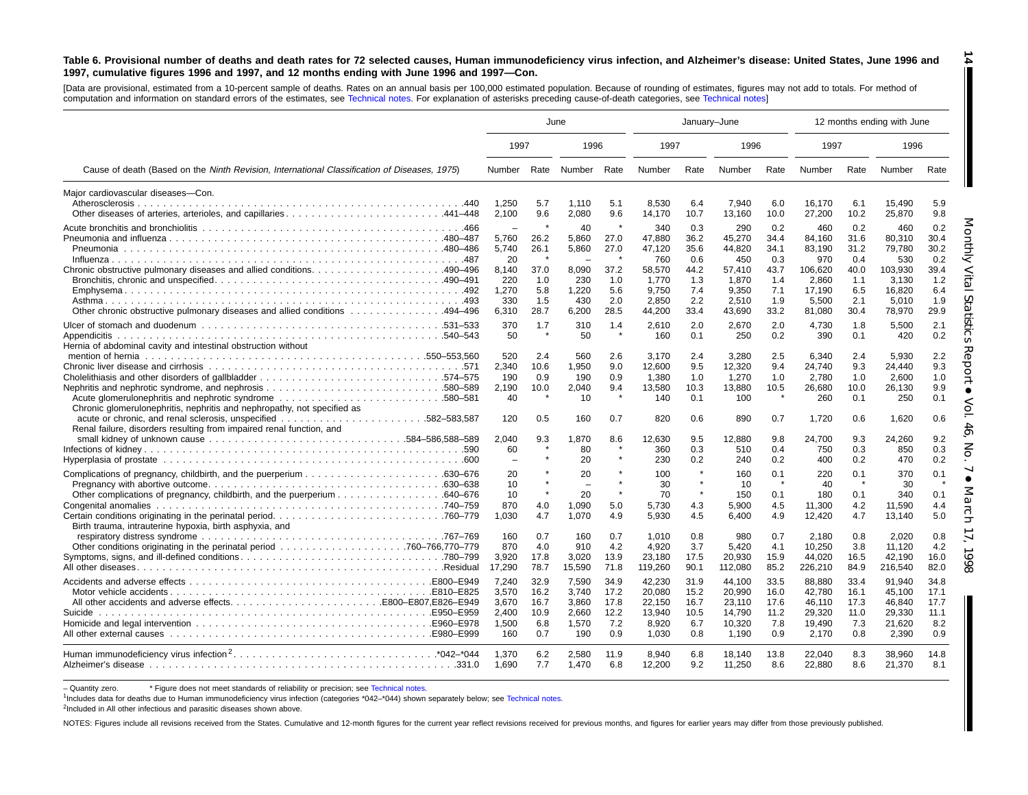#### Table 6. Provisional number of deaths and death rates for 72 selected causes, Human immunodeficiency virus infection, and Alzheimer's disease: United States, June 1996 and 1997, cumulative figures 1996 and 1997, and 12 months ending with June 1996 and 1997-Con.

[Data are provisional, estimated from <sup>a</sup> 10-percent sample of deaths. Rates on an annual basis per 100,000 estimated population. Because of rounding of [estimates,](#page-16-0) figures may not add to totals. For method of computation and information on standard errors of the estimates, see [Technical](#page-16-0) notes. For explanation of asterisks preceding cause-of-death categories, see Technical notes]

|                                                                                                                                          | June                                                                                      |                                                   |                                                               |                                                   |                                                                               | January-June                                                    |                                                                               |                                                                 |                                                                                 |                                                                 | 12 months ending with June                                                      |                                                                 |
|------------------------------------------------------------------------------------------------------------------------------------------|-------------------------------------------------------------------------------------------|---------------------------------------------------|---------------------------------------------------------------|---------------------------------------------------|-------------------------------------------------------------------------------|-----------------------------------------------------------------|-------------------------------------------------------------------------------|-----------------------------------------------------------------|---------------------------------------------------------------------------------|-----------------------------------------------------------------|---------------------------------------------------------------------------------|-----------------------------------------------------------------|
|                                                                                                                                          | 1997                                                                                      |                                                   | 1996                                                          |                                                   | 1997                                                                          |                                                                 | 1996                                                                          |                                                                 | 1997                                                                            |                                                                 | 1996                                                                            |                                                                 |
| Cause of death (Based on the Ninth Revision, International Classification of Diseases, 1975)                                             | Number                                                                                    |                                                   | Rate Number                                                   | Rate                                              | Number                                                                        | Rate                                                            | Number                                                                        | Rate                                                            | Number                                                                          | Rate                                                            | Number                                                                          | Rate                                                            |
| Maior cardiovascular diseases-Con.<br>Other diseases of arteries, arterioles, and capillaries441-448                                     | 1,250<br>2,100                                                                            | 5.7<br>9.6                                        | 1,110<br>2,080                                                | 5.1<br>9.6                                        | 8,530<br>14,170                                                               | 6.4<br>10.7                                                     | 7,940<br>13,160                                                               | 6.0<br>10.0                                                     | 16,170<br>27,200                                                                | 6.1<br>10.2                                                     | 15,490<br>25,870                                                                | 5.9<br>9.8                                                      |
| 0ther chronic obstructive pulmonary diseases and allied conditions 494–496                                                               | $\overline{\phantom{a}}$<br>5,760<br>5,740<br>20<br>8,140<br>220<br>1,270<br>330<br>6,310 | 26.2<br>26.1<br>37.0<br>1.0<br>5.8<br>1.5<br>28.7 | 40<br>5,860<br>5,860<br>8,090<br>230<br>1,220<br>430<br>6,200 | 27.0<br>27.0<br>37.2<br>1.0<br>5.6<br>2.0<br>28.5 | 340<br>47,880<br>47,120<br>760<br>58,570<br>1.770<br>9.750<br>2.850<br>44,200 | 0.3<br>36.2<br>35.6<br>0.6<br>44.2<br>1.3<br>7.4<br>2.2<br>33.4 | 290<br>45,270<br>44,820<br>450<br>57,410<br>1,870<br>9.350<br>2.510<br>43,690 | 0.2<br>34.4<br>34.1<br>0.3<br>43.7<br>1.4<br>7.1<br>1.9<br>33.2 | 460<br>84,160<br>83,190<br>970<br>106,620<br>2,860<br>17,190<br>5.500<br>81,080 | 0.2<br>31.6<br>31.2<br>0.4<br>40.0<br>1.1<br>6.5<br>2.1<br>30.4 | 460<br>80,310<br>79,780<br>530<br>103,930<br>3.130<br>16.820<br>5.010<br>78,970 | 0.2<br>30.4<br>30.2<br>0.2<br>39.4<br>1.2<br>6.4<br>1.9<br>29.9 |
| Hernia of abdominal cavity and intestinal obstruction without<br>Chronic glomerulonephritis, nephritis and nephropathy, not specified as | 370<br>50<br>520<br>2,340<br>190<br>2,190<br>40                                           | 1.7<br>2.4<br>10.6<br>0.9<br>10.0                 | 310<br>50<br>560<br>1,950<br>190<br>2,040<br>10               | 1.4<br>2.6<br>9.0<br>0.9<br>9.4                   | 2.610<br>160<br>3.170<br>12,600<br>1.380<br>13,580<br>140                     | 2.0<br>0.1<br>2.4<br>9.5<br>1.0<br>10.3<br>0.1                  | 2,670<br>250<br>3.280<br>12,320<br>1,270<br>13,880<br>100                     | 2.0<br>0.2<br>2.5<br>9.4<br>1.0<br>10.5                         | 4,730<br>390<br>6,340<br>24,740<br>2,780<br>26,680<br>260                       | 1.8<br>0.1<br>2.4<br>9.3<br>1.0<br>10.0<br>0.1                  | 5,500<br>420<br>5.930<br>24,440<br>2,600<br>26,130<br>250                       | 2.1<br>0.2<br>2.2<br>9.3<br>1.0<br>9.9<br>0.1                   |
| Renal failure, disorders resulting from impaired renal function, and                                                                     | 120<br>2,040<br>60                                                                        | 0.5<br>9.3                                        | 160<br>1,870<br>80<br>20                                      | 0.7<br>8.6                                        | 820<br>12.630<br>360<br>230                                                   | 0.6<br>9.5<br>0.3<br>0.2                                        | 890<br>12,880<br>510<br>240                                                   | 0.7<br>9.8<br>0.4<br>0.2                                        | 1.720<br>24,700<br>750<br>400                                                   | 0.6<br>9.3<br>0.3<br>0.2                                        | 1,620<br>24,260<br>850<br>470                                                   | 0.6<br>9.2<br>0.3<br>0.2                                        |
| Birth trauma, intrauterine hypoxia, birth asphyxia, and                                                                                  | 20<br>10<br>10<br>870<br>1,030                                                            | 4.0<br>4.7                                        | 20<br>20<br>1,090<br>1,070                                    | $\star$<br>$\star$<br>5.0<br>4.9                  | 100<br>30<br>70<br>5.730<br>5,930                                             | $\star$<br>$\star$<br>$\star$<br>4.3<br>4.5                     | 160<br>10<br>150<br>5.900<br>6.400                                            | 0.1<br>0.1<br>4.5<br>4.9                                        | 220<br>40<br>180<br>11,300<br>12,420                                            | 0.1<br>$\star$<br>0.1<br>4.2<br>4.7                             | 370<br>30<br>340<br>11.590<br>13,140                                            | 0.1<br>0.1<br>4.4<br>5.0                                        |
|                                                                                                                                          | 160<br>870<br>3,920<br>17,290                                                             | 0.7<br>4.0<br>17.8<br>78.7                        | 160<br>910<br>3,020<br>15,590                                 | 0.7<br>4.2<br>13.9<br>71.8                        | 1.010<br>4,920<br>23,180<br>119,260                                           | 0.8<br>3.7<br>17.5<br>90.1                                      | 980<br>5,420<br>20,930<br>112,080                                             | 0.7<br>4.1<br>15.9<br>85.2                                      | 2,180<br>10,250<br>44,020<br>226,210                                            | 0.8<br>3.8<br>16.5<br>84.9                                      | 2,020<br>11.120<br>42,190<br>216,540                                            | 0.8<br>4.2<br>16.0<br>82.0                                      |
| Suicide                                                                                                                                  | 7.240<br>3,570<br>3,670<br>2.400<br>1.500<br>160                                          | 32.9<br>16.2<br>16.7<br>10.9<br>6.8<br>0.7        | 7,590<br>3.740<br>3,860<br>2.660<br>1,570<br>190              | 34.9<br>17.2<br>17.8<br>12.2<br>7.2<br>0.9        | 42,230<br>20.080<br>22,150<br>13.940<br>8.920<br>1.030                        | 31.9<br>15.2<br>16.7<br>10.5<br>6.7<br>0.8                      | 44,100<br>20.990<br>23,110<br>14.790<br>10,320<br>1,190                       | 33.5<br>16.0<br>17.6<br>11.2<br>7.8<br>0.9                      | 88,880<br>42.780<br>46,110<br>29,320<br>19,490<br>2,170                         | 33.4<br>16.1<br>17.3<br>11.0<br>7.3<br>0.8                      | 91.940<br>45.100<br>46,840<br>29,330<br>21.620<br>2,390                         | 34.8<br>17.1<br>17.7<br>11.1<br>8.2<br>0.9                      |
|                                                                                                                                          | 1,370<br>1.690                                                                            | 6.2<br>7.7                                        | 2,580<br>1,470                                                | 11.9<br>6.8                                       | 8.940<br>12,200                                                               | 6.8<br>9.2                                                      | 18,140<br>11,250                                                              | 13.8<br>8.6                                                     | 22,040<br>22,880                                                                | 8.3<br>8.6                                                      | 38,960<br>21,370                                                                | 14.8<br>8.1                                                     |

- Quantity zero. \* Figure does not meet standards of reliability or precision; see Technical notes.

1Includes data for deaths due to Human immunodeficiency virus infection (categories [\\*042–\\*044\)](#page-16-0) shown separately below; see [Technical](#page-16-0) notes.

<sup>2</sup>Included in All other infectious and parasitic diseases shown above.

NOTES: Figures include all revisions received from the States. Cumulative and 12-month figures for the current year reflect revisions received for previous months, and figures for earlier years may differ from those previo

**14**

П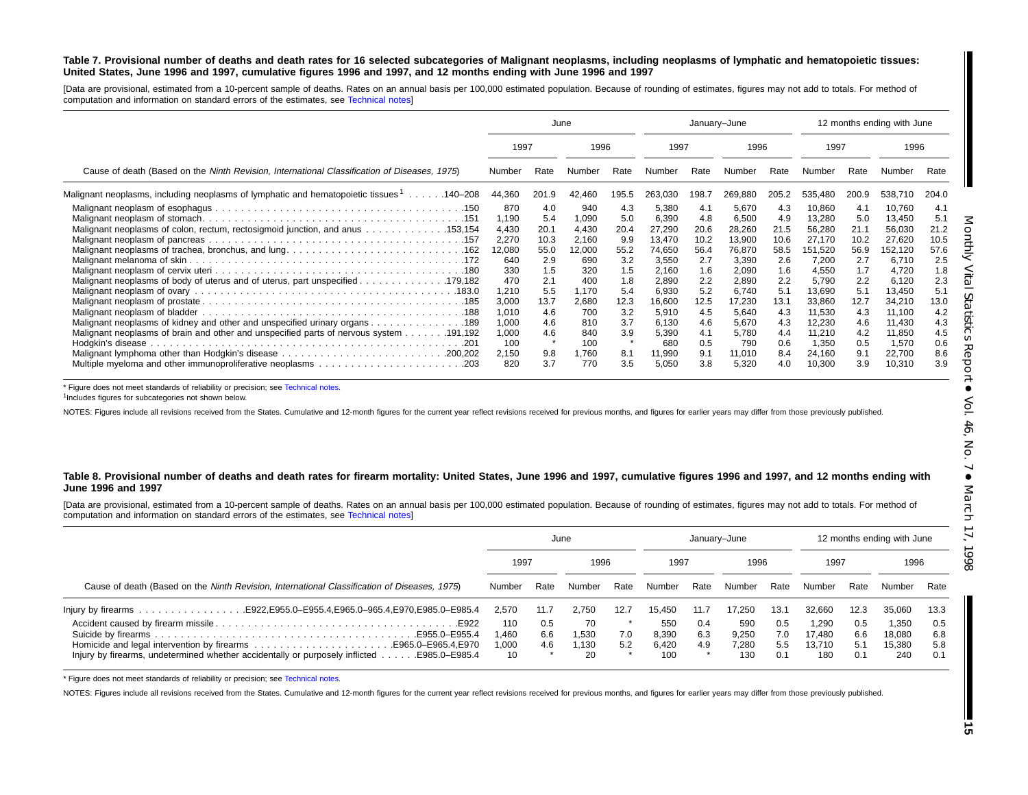#### Table 7. Provisional number of deaths and death rates for 16 selected subcategories of Malignant neoplasms, including neoplasms of lymphatic and hematopoietic tissues: United States, June 1996 and 1997, cumulative figures 1996 and 1997, and 12 months ending with June 1996 and 1997

[Data are provisional, estimated from <sup>a</sup> 10-percent sample of deaths. Rates on an annual basis per 100,000 estimated population. Because of rounding of estimates, figures may not add to totals. For method of computation and information on standard errors of the estimates, see [Technical](#page-16-0) notes]

|                                                                                                                                                                |                                                                                 |                                                                        | June                                                                            |                                                                       | January-June                                                                               |                                                                        |                                                                                            |                                                                        |                                                                                                |                                                                        | 12 months ending with June                                                                     |                                                                        |
|----------------------------------------------------------------------------------------------------------------------------------------------------------------|---------------------------------------------------------------------------------|------------------------------------------------------------------------|---------------------------------------------------------------------------------|-----------------------------------------------------------------------|--------------------------------------------------------------------------------------------|------------------------------------------------------------------------|--------------------------------------------------------------------------------------------|------------------------------------------------------------------------|------------------------------------------------------------------------------------------------|------------------------------------------------------------------------|------------------------------------------------------------------------------------------------|------------------------------------------------------------------------|
|                                                                                                                                                                | 1997                                                                            |                                                                        | 1996                                                                            |                                                                       | 1997                                                                                       |                                                                        | 1996                                                                                       |                                                                        | 1997                                                                                           |                                                                        | 1996                                                                                           |                                                                        |
| Cause of death (Based on the Ninth Revision, International Classification of Diseases, 1975)                                                                   | Number                                                                          | Rate                                                                   | Number                                                                          | Rate                                                                  | Number                                                                                     | Rate                                                                   | Number                                                                                     | Rate                                                                   | Number                                                                                         | Rate                                                                   | Number                                                                                         | Rate                                                                   |
| Malignant neoplasms, including neoplasms of lymphatic and hematopoietic tissues 1140–208                                                                       | 44,360                                                                          | 201.9                                                                  | 42,460                                                                          | 195.5                                                                 | 263,030                                                                                    | 198.7                                                                  | 269,880                                                                                    | 205.2                                                                  | 535,480                                                                                        | 200.9                                                                  | 538,710                                                                                        | 204.0                                                                  |
| Malignant neoplasms of colon, rectum, rectosigmoid junction, and anus 153,154<br>Malignant neoplasms of body of uterus and of uterus, part unspecified 179,182 | 870<br>1.190<br>4,430<br>2,270<br>12,080<br>640<br>330<br>470<br>1,210<br>3,000 | 4.0<br>5.4<br>20.1<br>10.3<br>55.0<br>2.9<br>1.5<br>2.1<br>5.5<br>13.7 | 940<br>1,090<br>4,430<br>2,160<br>12,000<br>690<br>320<br>400<br>1,170<br>2,680 | 4.3<br>5.0<br>20.4<br>9.9<br>55.2<br>3.2<br>1.5<br>1.8<br>5.4<br>12.3 | 5,380<br>6,390<br>27,290<br>13,470<br>74,650<br>3,550<br>2,160<br>2,890<br>6,930<br>16,600 | 4.1<br>4.8<br>20.6<br>10.2<br>56.4<br>2.7<br>1.6<br>2.2<br>5.2<br>12.5 | 5,670<br>6,500<br>28,260<br>13,900<br>76,870<br>3,390<br>2,090<br>2,890<br>6,740<br>17,230 | 4.3<br>4.9<br>21.5<br>10.6<br>58.5<br>2.6<br>1.6<br>2.2<br>5.1<br>13.1 | 10,860<br>13,280<br>56,280<br>27,170<br>151,520<br>7,200<br>4,550<br>5,790<br>13,690<br>33,860 | 4.1<br>5.0<br>21.1<br>10.2<br>56.9<br>2.7<br>1.7<br>2.2<br>5.1<br>12.7 | 10,760<br>13,450<br>56,030<br>27,620<br>152,120<br>6,710<br>4,720<br>6,120<br>13,450<br>34,210 | 4.1<br>5.1<br>21.2<br>10.5<br>57.6<br>2.5<br>1.8<br>2.3<br>5.1<br>13.0 |
| 189. 189. Malignant neoplasms of kidney and other and unspecified urinary organs. 189                                                                          | 1,010<br>1,000<br>1,000<br>100<br>2,150<br>820                                  | 4.6<br>4.6<br>4.6<br>9.8<br>3.7                                        | 700<br>810<br>840<br>100<br>1,760<br>770                                        | 3.2<br>3.7<br>3.9<br>8.1<br>3.5                                       | 5,910<br>6,130<br>5,390<br>680<br>11,990<br>5,050                                          | 4.5<br>4.6<br>4.1<br>0.5<br>9.1<br>3.8                                 | 5,640<br>5,670<br>5,780<br>790<br>11,010<br>5,320                                          | 4.3<br>4.3<br>4.4<br>0.6<br>8.4<br>4.0                                 | 11,530<br>12,230<br>11,210<br>1.350<br>24,160<br>10,300                                        | 4.3<br>4.6<br>4.2<br>0.5<br>9.1<br>3.9                                 | 11,100<br>11,430<br>11,850<br>1,570<br>22,700<br>10,310                                        | 4.2<br>4.3<br>4.5<br>0.6<br>8.6<br>3.9                                 |

\* Figure does not meet standards of reliability or precision; see [Technical](#page-16-0) notes.

<sup>1</sup>Includes figures for subcategories not shown below.

NOTES: Figures include all revisions received from the States. Cumulative and 12-month figures for the current year reflect revisions received for previous months, and figures for earlier years may differ from those previo

#### Table 8. Provisional number of deaths and death rates for firearm mortality: United States, June 1996 and 1997, cumulative figures 1996 and 1997, and 12 months ending with **June 1996 and 1997**

[Data are provisional, estimated from <sup>a</sup> 10-percent sample of deaths. Rates on an annual basis per 100,000 estimated population. Because of rounding of estimates, figures may not add to totals. For method of computation and information on standard errors of the estimates, see [Technical](#page-16-0) notes]

|                                                                                              |        |      | June   |      |        |      | January-June |      |        | 12 months ending with June |        |      |
|----------------------------------------------------------------------------------------------|--------|------|--------|------|--------|------|--------------|------|--------|----------------------------|--------|------|
|                                                                                              | 1997   |      | 1996   |      | 1997   |      | 1996         |      | 1997   |                            | 1996   |      |
| Cause of death (Based on the Ninth Revision, International Classification of Diseases, 1975) | Number | Rate | Number | Rate | Number | Rate | Number       | Rate | Number | Rate                       | Number | Rate |
|                                                                                              | 2.570  | 11.7 | 2.750  | 12.7 | 15.450 | 11.7 | 17.250       | 13.1 | 32.660 | 12.3                       | 35,060 | 13.3 |
|                                                                                              | 110    | 0.5  | 70     |      | 550    | 0.4  | 590          | 0.5  | 1.290  | 0.5                        | 1,350  | 0.5  |
|                                                                                              | 1.460  | 6.6  | 1.530  | 7.0  | 8,390  | 6.3  | 9,250        | 7.0  | 17.480 | 6.6                        | 18,080 | 6.8  |
|                                                                                              | 1.000  | 4.6  | 1.130  | 5.2  | 6.420  | 4.9  | 7.280        | 5.5  | 13.710 | 5.1                        | 15.380 | 5.8  |
| Injury by firearms, undetermined whether accidentally or purposely inflicted E985.0–E985.4   | 10     |      | 20     |      | 100    |      | 130          | 0.1  | 180    | 0.1                        | 240    | 0.1  |

\* Figure does not meet standards of reliability or precision; see Technical notes.

NOTES: Figures include all revisions received from the States. [Cumulative](#page-16-0) and 12-month figures for the current year reflect revisions received for previous months, and figures for earlier years may differ from those previo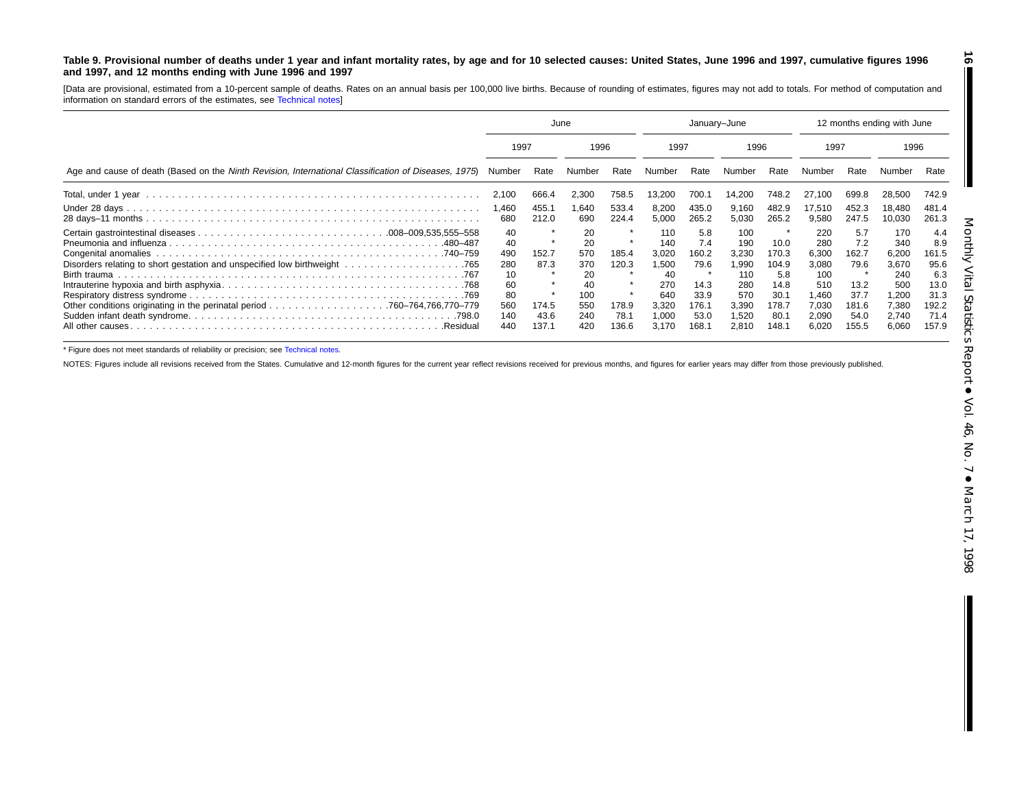#### <span id="page-15-0"></span>Table 9. Provisional number of deaths under 1 year and infant mortality rates, by age and for 10 selected causes: United States, June 1996 and 1997, cumulative figures 1996 **and 1997, and 12 months ending with June 1996 and 1997**

[Data are provisional, estimated from <sup>a</sup> 10-percent sample of deaths. Rates on an annual basis per 100,000 live births. Because of rounding of estimates, figures may not add to totals. For method of computation and information on standard errors of the estimates, see [Technical](#page-16-0) notes]

|                                                                                                      | June                                                          |                                         |                                                          | January-June                             |                                                                             |                                                                       |                                                                              | 12 months ending with June                                                         |                                                                                |                                                                       |                                                                                |                                                                              |  |
|------------------------------------------------------------------------------------------------------|---------------------------------------------------------------|-----------------------------------------|----------------------------------------------------------|------------------------------------------|-----------------------------------------------------------------------------|-----------------------------------------------------------------------|------------------------------------------------------------------------------|------------------------------------------------------------------------------------|--------------------------------------------------------------------------------|-----------------------------------------------------------------------|--------------------------------------------------------------------------------|------------------------------------------------------------------------------|--|
|                                                                                                      |                                                               | 1997                                    |                                                          | 1996                                     |                                                                             | 1997                                                                  |                                                                              | 1996                                                                               |                                                                                | 1997                                                                  |                                                                                | 1996                                                                         |  |
| Age and cause of death (Based on the Ninth Revision, International Classification of Diseases, 1975) | Number                                                        | Rate                                    | Number                                                   | Rate                                     | Number                                                                      | Rate                                                                  | Number                                                                       | Rate                                                                               | Number                                                                         | Rate                                                                  |                                                                                | Rate                                                                         |  |
|                                                                                                      | 2,100                                                         | 666.4                                   | 2,300                                                    | 758.5                                    | 13,200                                                                      | 700.1                                                                 | 14.200                                                                       | 748.2                                                                              | 27.100                                                                         | 699.8                                                                 | 28,500                                                                         | 742.9                                                                        |  |
|                                                                                                      | 1.460<br>680                                                  | 455.1<br>212.0                          | .640<br>690                                              | 533.4<br>224.4                           | 8,200<br>5,000                                                              | 435.0<br>265.2                                                        | 9,160<br>5,030                                                               | 482.9<br>265.2                                                                     | 17,510<br>9,580                                                                | 452.3<br>247.5                                                        | 18.480<br>10,030                                                               | 481.4<br>261.3                                                               |  |
| .480–487<br>All other causes.<br>.Residual                                                           | 40<br>40<br>490<br>280<br>10<br>60<br>80<br>560<br>140<br>440 | 152.7<br>87.3<br>174.5<br>43.6<br>137.1 | 20<br>20<br>570<br>370<br>20<br>100<br>550<br>240<br>420 | 185.4<br>120.3<br>178.9<br>78.1<br>136.6 | 110<br>140<br>3,020<br>1,500<br>40<br>270<br>640<br>3,320<br>1,000<br>3,170 | 5.8<br>7.4<br>160.2<br>79.6<br>14.3<br>33.9<br>176.1<br>53.0<br>168.1 | 100<br>190<br>3,230<br>1.990<br>110<br>280<br>570<br>3,390<br>1,520<br>2,810 | $\star$<br>10.0<br>170.3<br>104.9<br>5.8<br>14.8<br>30.1<br>178.7<br>80.1<br>148.1 | 220<br>280<br>6,300<br>3,080<br>100<br>510<br>1.460<br>7,030<br>2,090<br>6,020 | 5.7<br>7.2<br>162.7<br>79.6<br>13.2<br>37.7<br>181.6<br>54.0<br>155.5 | 170<br>340<br>6,200<br>3,670<br>240<br>500<br>1,200<br>7,380<br>2,740<br>6,060 | 4.4<br>8.9<br>161.5<br>95.6<br>6.3<br>13.0<br>31.3<br>192.2<br>71.4<br>157.9 |  |

\* Figure does not meet standards of reliability or precision; see [Technical](#page-16-0) notes.

NOTES: Figures include all revisions received from the States. Cumulative and 12-month figures for the current year reflect revisions received for previous months, and figures for earlier years may differ from those previo

**16**

ı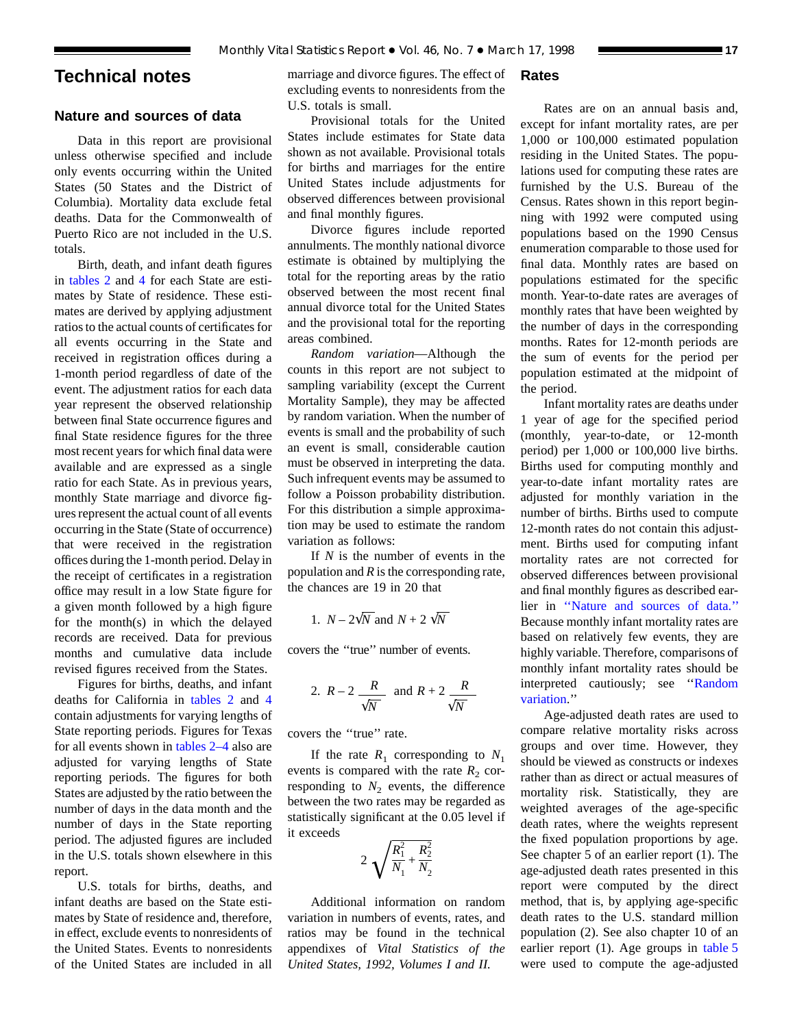# <span id="page-16-0"></span>**Technical notes**

# **Nature and sources of data**

Data in this report are provisional unless otherwise specified and include only events occurring within the United States (50 States and the District of Columbia). Mortality data exclude fetal deaths. Data for the Commonwealth of Puerto Rico are not included in the U.S. totals.

Birth, de[ath, and](#page-8-0) infant death figures in [tables 2](#page-6-0) and 4 for each State are estimates by State of residence. These estimates are derived by applying adjustment ratios to the actual counts of certificates for all events occurring in the State and received in registration offices during a 1-month period regardless of date of the event. The adjustment ratios for each data year represent the observed relationship between final State occurrence figures and final State residence figures for the three most recent years for which final data were available and are expressed as a single ratio for each State. As in previous years, monthly State marriage and divorce figures represent the actual count of all events occurring in the State (State of occurrence) that were received in the registration offices during the 1-month period. Delay in the receipt of certificates in a registration office may result in a low State figure for a given month followed by a high figure for the month(s) in which the delayed records are received. Data for previous months and cumulative data include revised figures received from the States.

Figures for births, deaths, and i[nfant](#page-8-0) deaths for California in [tables 2](#page-6-0) and 4 contain adjustments for varying lengths of State reporting periods. Figures for Texas for all events shown in [tables 2–4](#page-6-0) also are adjusted for varying lengths of State reporting periods. The figures for both States are adjusted by the ratio between the number of days in the data month and the number of days in the State reporting period. The adjusted figures are included in the U.S. totals shown elsewhere in this report.

U.S. totals for births, deaths, and infant deaths are based on the State estimates by State of residence and, therefore, in effect, exclude events to nonresidents of the United States. Events to nonresidents of the United States are included in all

marriage and divorce figures. The effect of excluding events to nonresidents from the U.S. totals is small.

Provisional totals for the United States include estimates for State data shown as not available. Provisional totals for births and marriages for the entire United States include adjustments for observed differences between provisional and final monthly figures.

Divorce figures include reported annulments. The monthly national divorce estimate is obtained by multiplying the total for the reporting areas by the ratio observed between the most recent final annual divorce total for the United States and the provisional total for the reporting areas combined.

*Random variation*—Although the counts in this report are not subject to sampling variability (except the Current Mortality Sample), they may be affected by random variation. When the number of events is small and the probability of such an event is small, considerable caution must be observed in interpreting the data. Such infrequent events may be assumed to follow a Poisson probability distribution. For this distribution a simple approximation may be used to estimate the random variation as follows:

If *N* is the number of events in the population and *R* is the corresponding rate, the chances are 19 in 20 that

1. 
$$
N - 2\sqrt{N}
$$
 and  $N + 2\sqrt{N}$ 

covers the ''true'' number of events.

2. 
$$
R-2
$$
  $\frac{R}{\sqrt{N}}$  and  $R+2$   $\frac{R}{\sqrt{N}}$ 

covers the ''true'' rate.

If the rate  $R_1$  corresponding to  $N_1$ events is compared with the rate  $R_2$  corresponding to  $N_2$  events, the difference between the two rates may be regarded as statistically significant at the 0.05 level if it exceeds

$$
2\sqrt{\frac{R_1^2}{N_1} + \frac{R_2^2}{N_2}}
$$

Additional information on random variation in numbers of events, rates, and ratios may be found in the technical appendixes of *Vital Statistics of the United States, 1992, Volumes I and II.*

# **Rates**

Rates are on an annual basis and, except for infant mortality rates, are per 1,000 or 100,000 estimated population residing in the United States. The populations used for computing these rates are furnished by the U.S. Bureau of the Census. Rates shown in this report beginning with 1992 were computed using populations based on the 1990 Census enumeration comparable to those used for final data. Monthly rates are based on populations estimated for the specific month. Year-to-date rates are averages of monthly rates that have been weighted by the number of days in the corresponding months. Rates for 12-month periods are the sum of events for the period per population estimated at the midpoint of the period.

Infant mortality rates are deaths under 1 year of age for the specified period (monthly, year-to-date, or 12-month period) per 1,000 or 100,000 live births. Births used for computing monthly and year-to-date infant mortality rates are adjusted for monthly variation in the number of births. Births used to compute 12-month rates do not contain this adjustment. Births used for computing infant mortality rates are not corrected for observed differences between provisional and final monthly figures as described earlier in ''Nature and sources of data.'' Because monthly infant mortality rates are based on relatively few events, they are highly variable. Therefore, comparisons of monthly infant mortality rates should be interpreted cautiously; see ''Random variation.''

Age-adjusted death rates are used to compare relative mortality risks across groups and over time. However, they should be viewed as constructs or indexes rather than as direct or actual measures of mortality risk. Statistically, they are weighted averages of the age-specific death rates, where the weights represent the fixed population proportions by age. See chapter 5 of an earlier report (1). The age-adjusted death rates presented in this report were computed by the direct method, that is, by applying age-specific death rates to the U.S. standard million population (2). See also chapter 10 of an earlier report (1). Age groups in [table 5](#page-9-0) were used to compute the age-adjusted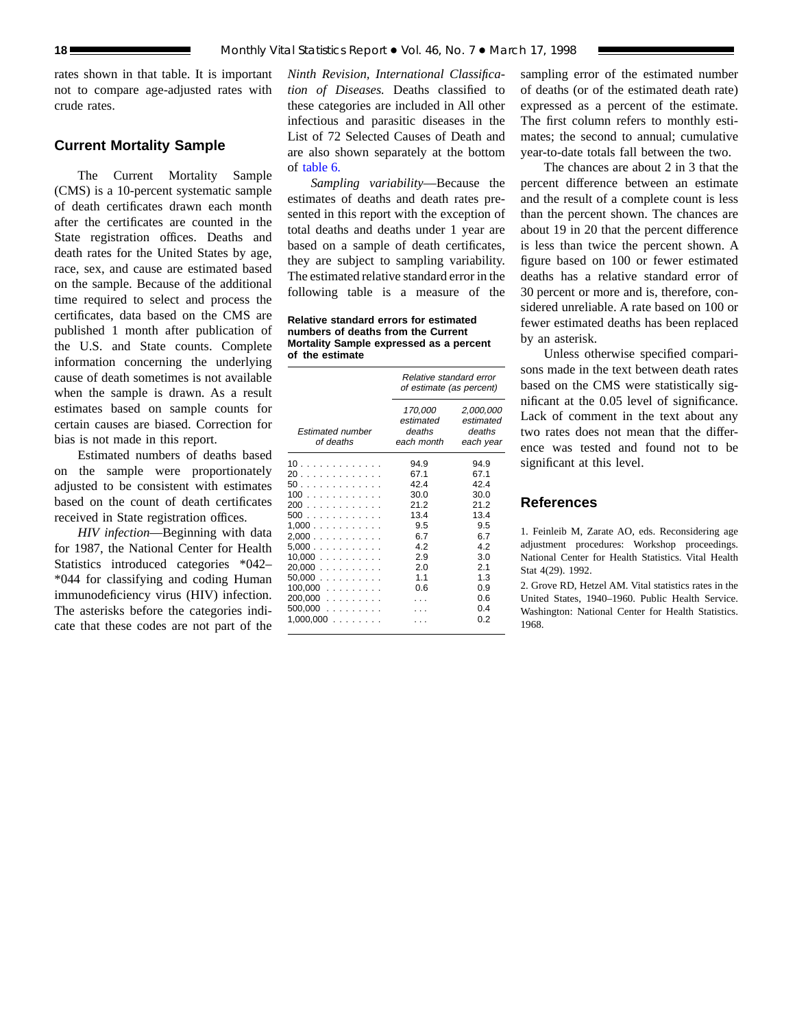rates shown in that table. It is important not to compare age-adjusted rates with crude rates.

# **Current Mortality Sample**

The Current Mortality Sample (CMS) is a 10-percent systematic sample of death certificates drawn each month after the certificates are counted in the State registration offices. Deaths and death rates for the United States by age, race, sex, and cause are estimated based on the sample. Because of the additional time required to select and process the certificates, data based on the CMS are published 1 month after publication of the U.S. and State counts. Complete information concerning the underlying cause of death sometimes is not available when the sample is drawn. As a result estimates based on sample counts for certain causes are biased. Correction for bias is not made in this report.

Estimated numbers of deaths based on the sample were proportionately adjusted to be consistent with estimates based on the count of death certificates received in State registration offices.

*HIV infection*—Beginning with data for 1987, the National Center for Health Statistics introduced categories \*042– \*044 for classifying and coding Human immunodeficiency virus (HIV) infection. The asterisks before the categories indicate that these codes are not part of the

*Ninth Revision, International Classification of Diseases.* Deaths classified to these categories are included in All other infectious and parasitic diseases in the List of 72 Selected Causes of Death and are also shown separately at the bottom of [table 6.](#page-12-0)

*Sampling variability*—Because the estimates of deaths and death rates presented in this report with the exception of total deaths and deaths under 1 year are based on a sample of death certificates, they are subject to sampling variability. The estimated relative standard error in the following table is a measure of the

**Relative standard errors for estimated numbers of deaths from the Current Mortality Sample expressed as a percent of the estimate**

|                                                                                                                          | Relative standard error<br>of estimate (as percent)                                           |                                                                                                      |  |  |
|--------------------------------------------------------------------------------------------------------------------------|-----------------------------------------------------------------------------------------------|------------------------------------------------------------------------------------------------------|--|--|
| <b>Estimated number</b><br>of deaths                                                                                     | 170,000<br>estimated<br>deaths<br>each month                                                  | 2,000,000<br>estimated<br>deaths<br>each year                                                        |  |  |
| 10<br>20<br>50<br>100<br>200<br>500<br>1,000<br>2,000<br>5.000<br>10,000<br>20.000<br>$50,000$<br>$100,000$<br>$200,000$ | 94.9<br>67.1<br>42.4<br>30.0<br>21.2<br>13.4<br>9.5<br>6.7<br>4.2<br>2.9<br>2.0<br>1.1<br>0.6 | 94.9<br>67.1<br>42.4<br>30.0<br>21.2<br>13.4<br>9.5<br>6.7<br>4.2<br>3.0<br>2.1<br>1.3<br>0.9<br>0.6 |  |  |
| 500,000<br>$1,000,000$                                                                                                   |                                                                                               | 0.4<br>0.2                                                                                           |  |  |

sampling error of the estimated number of deaths (or of the estimated death rate) expressed as a percent of the estimate. The first column refers to monthly estimates; the second to annual; cumulative year-to-date totals fall between the two.

The chances are about 2 in 3 that the percent difference between an estimate and the result of a complete count is less than the percent shown. The chances are about 19 in 20 that the percent difference is less than twice the percent shown. A figure based on 100 or fewer estimated deaths has a relative standard error of 30 percent or more and is, therefore, considered unreliable. A rate based on 100 or fewer estimated deaths has been replaced by an asterisk.

Unless otherwise specified comparisons made in the text between death rates based on the CMS were statistically significant at the 0.05 level of significance. Lack of comment in the text about any two rates does not mean that the difference was tested and found not to be significant at this level.

# **References**

1. Feinleib M, Zarate AO, eds. Reconsidering age adjustment procedures: Workshop proceedings. National Center for Health Statistics. Vital Health Stat 4(29). 1992.

2. Grove RD, Hetzel AM. Vital statistics rates in the United States, 1940–1960. Public Health Service. Washington: National Center for Health Statistics. 1968.